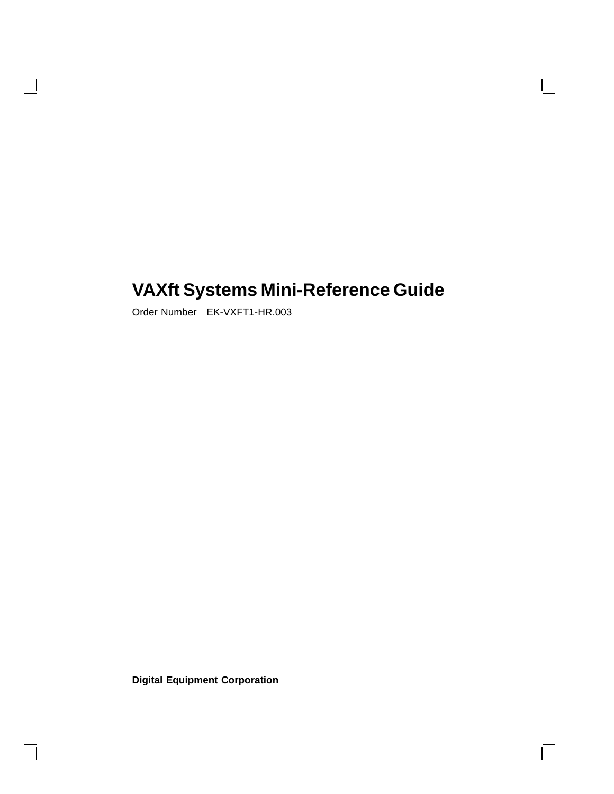# **VAXft Systems Mini-Reference Guide**

 $\overline{\Gamma}$ 

Order Number EK-VXFT1-HR.003

 $\overline{\phantom{a}}$ 

**Digital Equipment Corporation**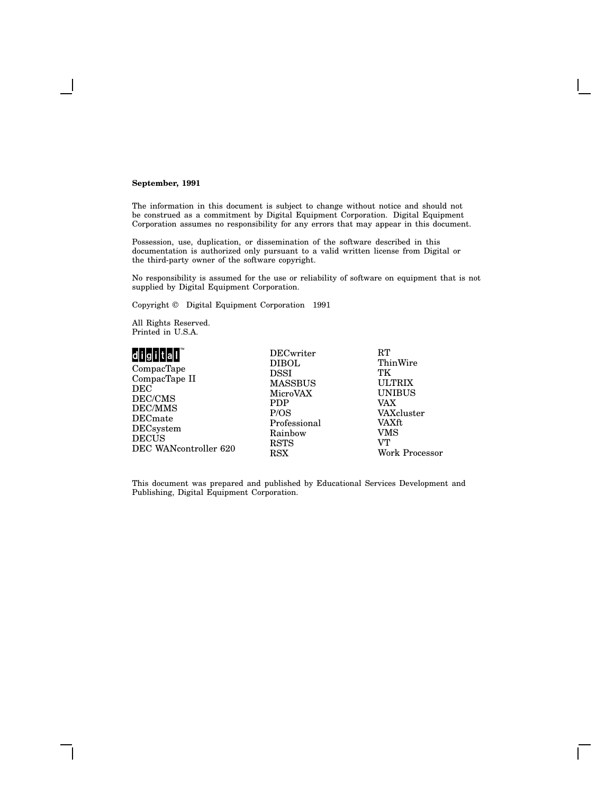#### **September, 1991**

The information in this document is subject to change without notice and should not be construed as a commitment by Digital Equipment Corporation. Digital Equipment Corporation assumes no responsibility for any errors that may appear in this document.

Possession, use, duplication, or dissemination of the software described in this documentation is authorized only pursuant to a valid written license from Digital or the third-party owner of the software copyright.

No responsibility is assumed for the use or reliability of software on equipment that is not supplied by Digital Equipment Corporation.

Copyright © Digital Equipment Corporation 1991

All Rights Reserved. Printed in U.S.A.

### 

CompacTape CompacTape II DEC DEC/CMS DEC/MMS DECmate DECsystem DECUS DEC WANcontroller 620 DIBOL DSSI MASSBUS MicroVAX PDP P/OS Professional Rainbow RSTS RSX

DECwriter

 $\mathbf{RT}$ **ThinWire** TK ULTRIX UNIBUS VAX VAXcluster VAXft VMS VT Work Processor

This document was prepared and published by Educational Services Development and Publishing, Digital Equipment Corporation.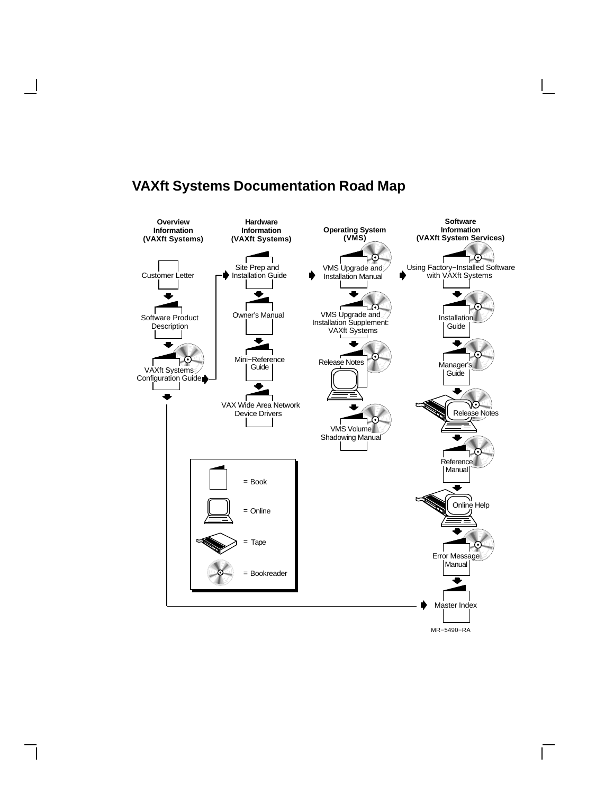

# **VAXft Systems Documentation Road Map**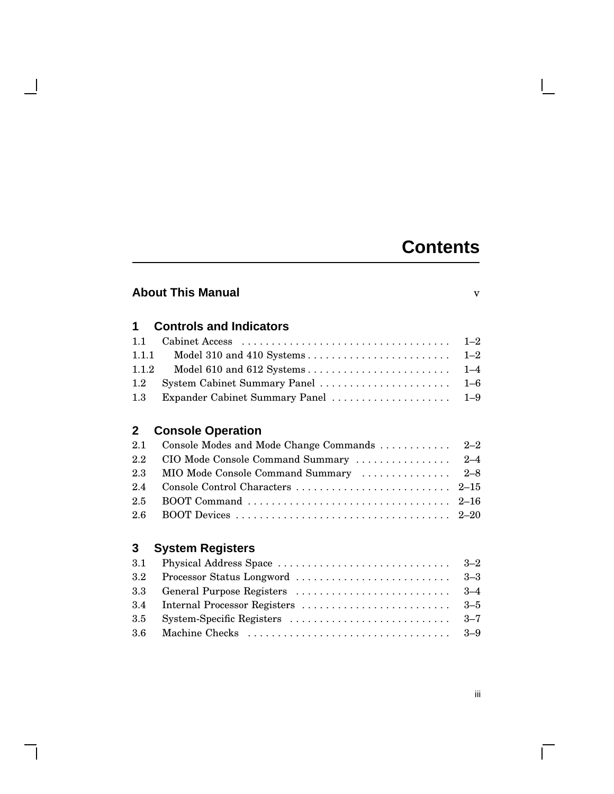# **Contents**

### **About This Manual** v

### **1 Controls and Indicators** 1.1 Cabinet Access . . . . . . . . . . . . . . . . . . . . . . . . . . . . . . . . . . . 1–2

| 1.1.2 |  |
|-------|--|
|       |  |
|       |  |

### **2 Console Operation**

| 2.1 Console Modes and Mode Change Commands  2-2 |  |
|-------------------------------------------------|--|
|                                                 |  |
| 2.3 MIO Mode Console Command Summary  2-8       |  |
|                                                 |  |
|                                                 |  |
|                                                 |  |

## **3 System Registers**

 $\mathbf{L}$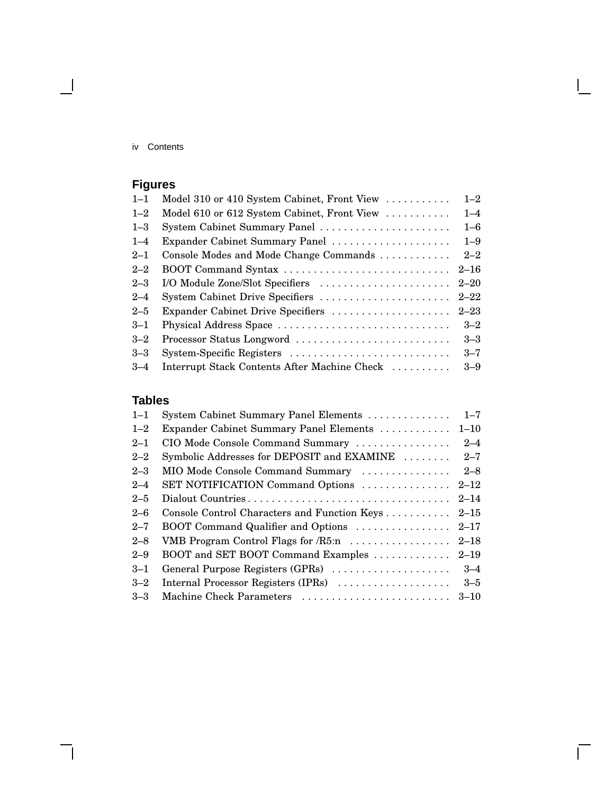iv Contents

 $\mathbf{1}$ 

# **Figures**

| $1 - 1$ | Model 310 or 410 System Cabinet, Front View  | $1 - 2$  |
|---------|----------------------------------------------|----------|
| $1 - 2$ | Model 610 or 612 System Cabinet, Front View  | $1 - 4$  |
| $1 - 3$ | System Cabinet Summary Panel                 | $1 - 6$  |
| $1 - 4$ | Expander Cabinet Summary Panel               | $1 - 9$  |
| $2 - 1$ | Console Modes and Mode Change Commands       | $2 - 2$  |
| $2 - 2$ | BOOT Command Syntax                          | $2 - 16$ |
| $2 - 3$ | I/O Module Zone/Slot Specifiers              | $2 - 20$ |
| $2 - 4$ | System Cabinet Drive Specifiers              | $2 - 22$ |
| $2 - 5$ | Expander Cabinet Drive Specifiers            | $2 - 23$ |
| $3 - 1$ | Physical Address Space                       | $3 - 2$  |
| $3 - 2$ | Processor Status Longword                    | $3 - 3$  |
| $3 - 3$ | System-Specific Registers                    | $3 - 7$  |
| $3 - 4$ | Interrupt Stack Contents After Machine Check | $3-9$    |

## **Tables**

| $1 - 1$ | System Cabinet Summary Panel Elements        | $1 - 7$  |
|---------|----------------------------------------------|----------|
| $1 - 2$ | Expander Cabinet Summary Panel Elements      | $1 - 10$ |
| $2 - 1$ | CIO Mode Console Command Summary             | $2 - 4$  |
| $2 - 2$ | Symbolic Addresses for DEPOSIT and EXAMINE   | $2 - 7$  |
| $2 - 3$ | MIO Mode Console Command Summary             | $2 - 8$  |
| $2 - 4$ | SET NOTIFICATION Command Options             | $2 - 12$ |
| $2 - 5$ | Dialout Countries                            | $2 - 14$ |
| $2 - 6$ | Console Control Characters and Function Keys | $2 - 15$ |
| $2 - 7$ | BOOT Command Qualifier and Options           | $2 - 17$ |
| $2 - 8$ | VMB Program Control Flags for $/R5$ :n       | $2 - 18$ |
| $2 - 9$ | BOOT and SET BOOT Command Examples           | $2 - 19$ |
| $3 - 1$ | General Purpose Registers (GPRs)             | $3 - 4$  |
| $3 - 2$ | Internal Processor Registers (IPRs)          | $3 - 5$  |
| $3 - 3$ |                                              |          |

 $\bar{\Gamma}$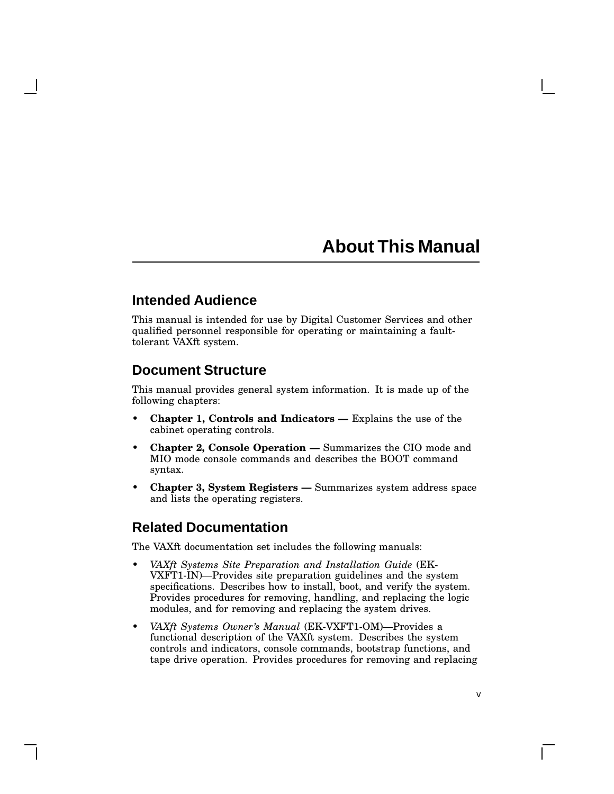# **About This Manual**

### **Intended Audience**

This manual is intended for use by Digital Customer Services and other qualified personnel responsible for operating or maintaining a faulttolerant VAXft system.

### **Document Structure**

This manual provides general system information. It is made up of the following chapters:

- **Chapter 1, Controls and Indicators —** Explains the use of the cabinet operating controls.
- **Chapter 2, Console Operation —** Summarizes the CIO mode and MIO mode console commands and describes the BOOT command syntax.
- **Chapter 3, System Registers —** Summarizes system address space and lists the operating registers.

### **Related Documentation**

The VAXft documentation set includes the following manuals:

- *VAXft Systems Site Preparation and Installation Guide* (EK-VXFT1-IN)—Provides site preparation guidelines and the system specifications. Describes how to install, boot, and verify the system. Provides procedures for removing, handling, and replacing the logic modules, and for removing and replacing the system drives.
- *VAXft Systems Owner's Manual* (EK-VXFT1-OM)—Provides a functional description of the VAXft system. Describes the system controls and indicators, console commands, bootstrap functions, and tape drive operation. Provides procedures for removing and replacing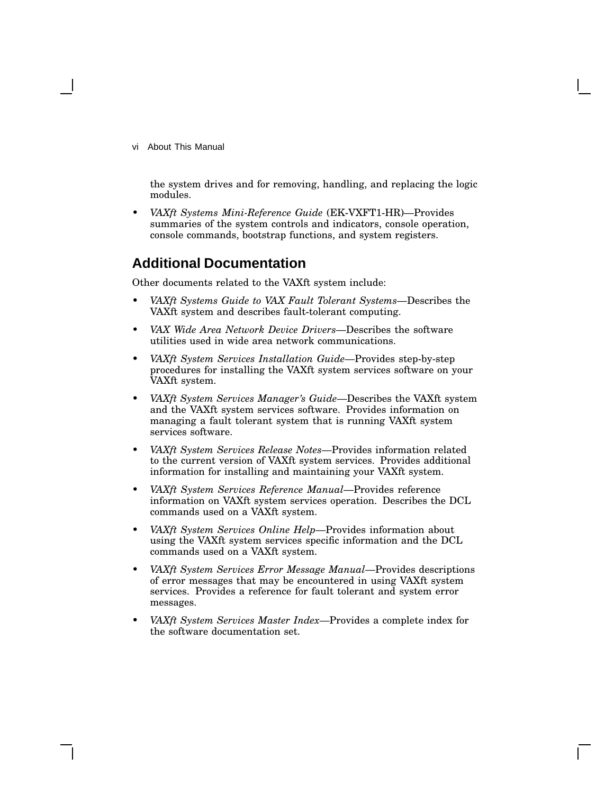vi About This Manual

the system drives and for removing, handling, and replacing the logic modules.

• *VAXft Systems Mini-Reference Guide* (EK-VXFT1-HR)—Provides summaries of the system controls and indicators, console operation, console commands, bootstrap functions, and system registers.

### **Additional Documentation**

Other documents related to the VAXft system include:

- *VAXft Systems Guide to VAX Fault Tolerant Systems*—Describes the VAXft system and describes fault-tolerant computing.
- *VAX Wide Area Network Device Drivers*—Describes the software utilities used in wide area network communications.
- *VAXft System Services Installation Guide*—Provides step-by-step procedures for installing the VAXft system services software on your VAXft system.
- *VAXft System Services Manager's Guide*—Describes the VAXft system and the VAXft system services software. Provides information on managing a fault tolerant system that is running VAXft system services software.
- *VAXft System Services Release Notes*—Provides information related to the current version of VAXft system services. Provides additional information for installing and maintaining your VAXft system.
- *VAXft System Services Reference Manual*—Provides reference information on VAXft system services operation. Describes the DCL commands used on a VAXft system.
- *VAXft System Services Online Help*—Provides information about using the VAXft system services specific information and the DCL commands used on a VAXft system.
- *VAXft System Services Error Message Manual*—Provides descriptions of error messages that may be encountered in using VAXft system services. Provides a reference for fault tolerant and system error messages.
- *VAXft System Services Master Index*—Provides a complete index for the software documentation set.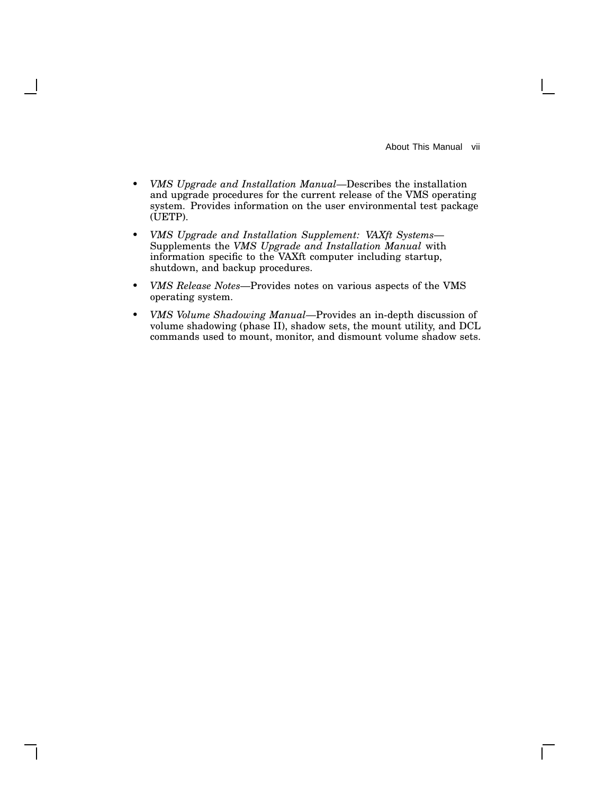About This Manual vii

 $\mathbf{I}$ 

- *VMS Upgrade and Installation Manual*—Describes the installation and upgrade procedures for the current release of the VMS operating system. Provides information on the user environmental test package (UETP).
- *VMS Upgrade and Installation Supplement: VAXft Systems* Supplements the *VMS Upgrade and Installation Manual* with information specific to the VAXft computer including startup, shutdown, and backup procedures.
- *VMS Release Notes*—Provides notes on various aspects of the VMS operating system.
- *VMS Volume Shadowing Manual*—Provides an in-depth discussion of volume shadowing (phase II), shadow sets, the mount utility, and DCL commands used to mount, monitor, and dismount volume shadow sets.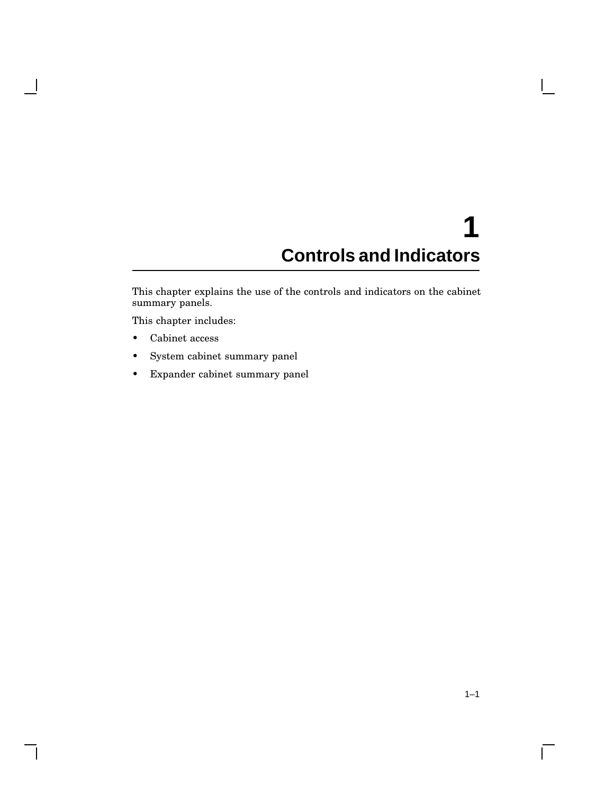# **1 Controls and Indicators**

This chapter explains the use of the controls and indicators on the cabinet summary panels.

This chapter includes:

• Cabinet access

 $\mathbf l$ 

- System cabinet summary panel
- Expander cabinet summary panel

 $\mathbf{L}$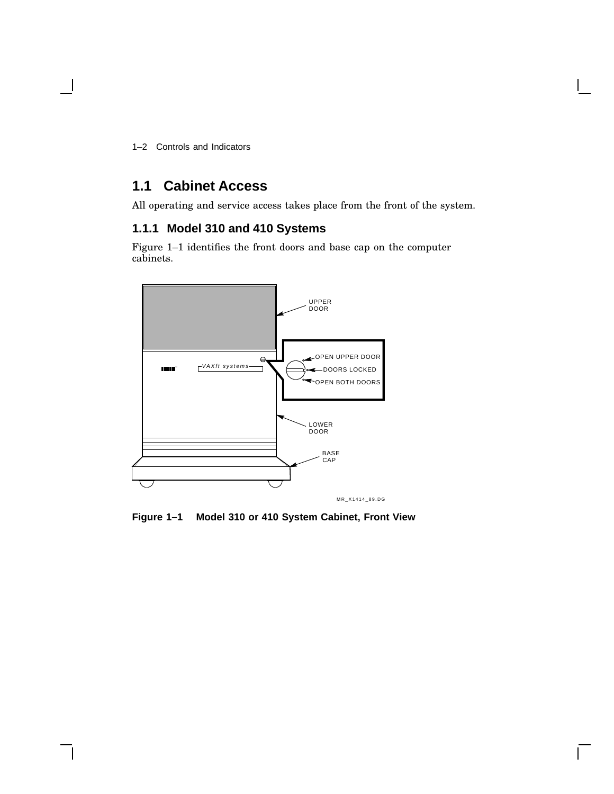1–2 Controls and Indicators

### **1.1 Cabinet Access**

All operating and service access takes place from the front of the system.

### **1.1.1 Model 310 and 410 Systems**

Figure 1–1 identifies the front doors and base cap on the computer cabinets.



**Figure 1–1 Model 310 or 410 System Cabinet, Front View**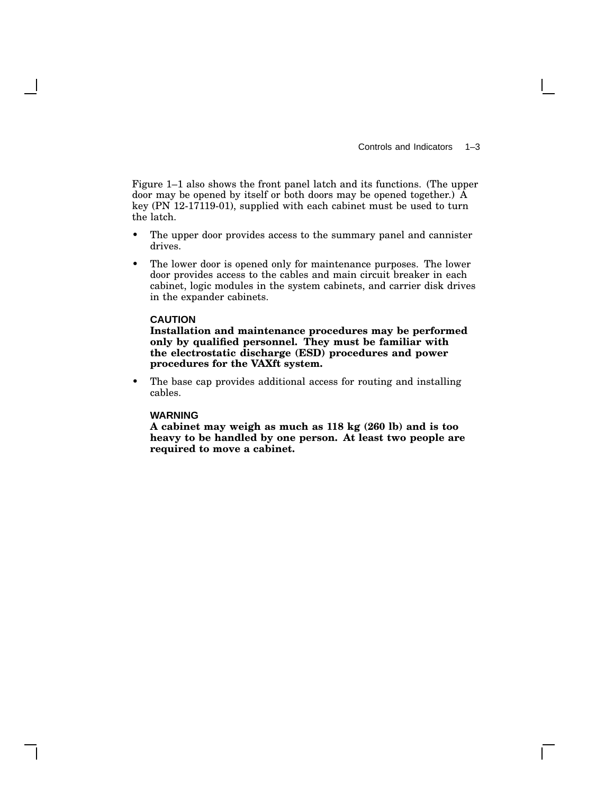Figure 1–1 also shows the front panel latch and its functions. (The upper door may be opened by itself or both doors may be opened together.) A key (PN 12-17119-01), supplied with each cabinet must be used to turn the latch.

- The upper door provides access to the summary panel and cannister drives.
- The lower door is opened only for maintenance purposes. The lower door provides access to the cables and main circuit breaker in each cabinet, logic modules in the system cabinets, and carrier disk drives in the expander cabinets.

#### **CAUTION**

**Installation and maintenance procedures may be performed only by qualified personnel. They must be familiar with the electrostatic discharge (ESD) procedures and power procedures for the VAXft system.**

• The base cap provides additional access for routing and installing cables.

#### **WARNING**

**A cabinet may weigh as much as 118 kg (260 lb) and is too heavy to be handled by one person. At least two people are required to move a cabinet.**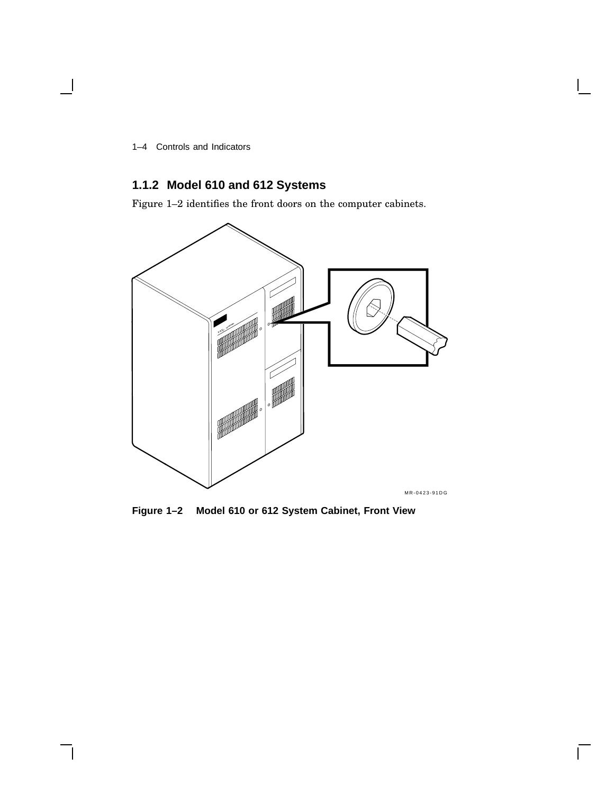1–4 Controls and Indicators

### **1.1.2 Model 610 and 612 Systems**

Figure 1–2 identifies the front doors on the computer cabinets.



**Figure 1–2 Model 610 or 612 System Cabinet, Front View**

 $\mathsf{L}$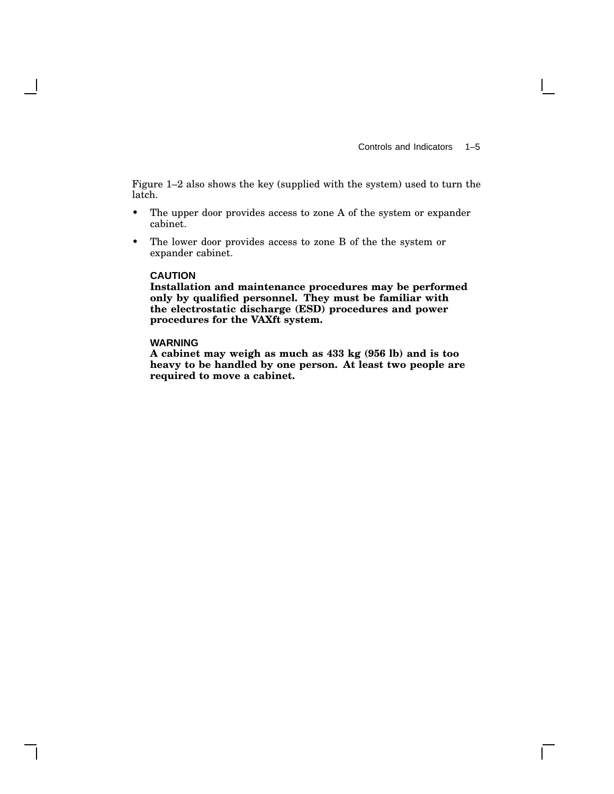Figure 1–2 also shows the key (supplied with the system) used to turn the latch.

- The upper door provides access to zone A of the system or expander cabinet.
- The lower door provides access to zone B of the the system or expander cabinet.

#### **CAUTION**

**Installation and maintenance procedures may be performed only by qualified personnel. They must be familiar with the electrostatic discharge (ESD) procedures and power procedures for the VAXft system.**

#### **WARNING**

**A cabinet may weigh as much as 433 kg (956 lb) and is too heavy to be handled by one person. At least two people are required to move a cabinet.**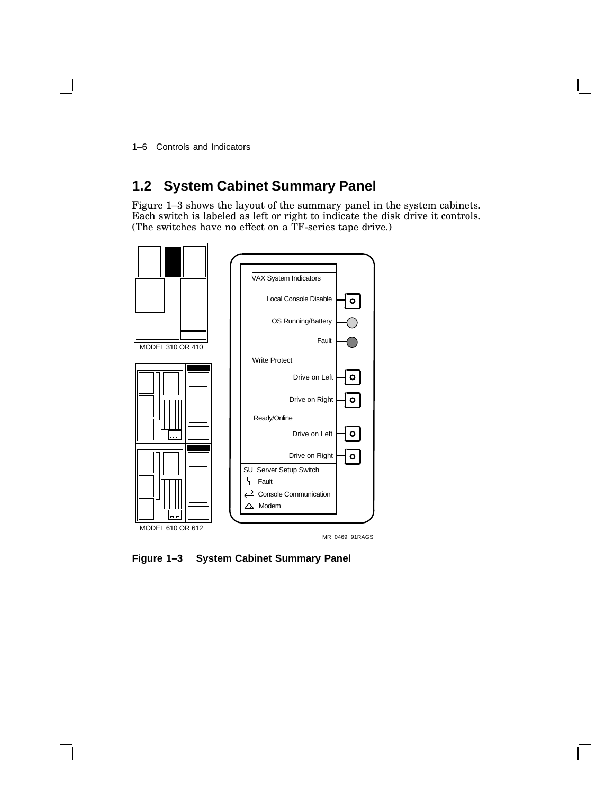1–6 Controls and Indicators

# **1.2 System Cabinet Summary Panel**

Figure 1–3 shows the layout of the summary panel in the system cabinets. Each switch is labeled as left or right to indicate the disk drive it controls. (The switches have no effect on a TF-series tape drive.)



MR−0469−91RAGS

**Figure 1–3 System Cabinet Summary Panel**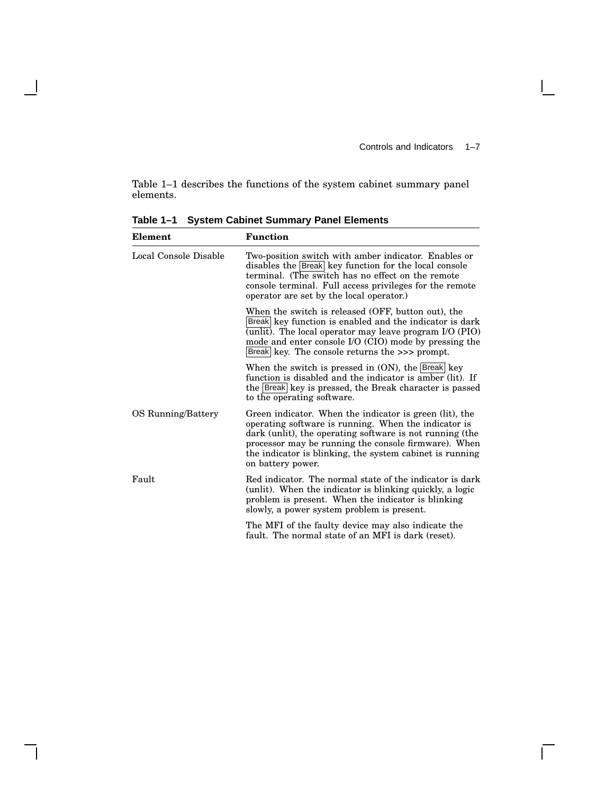$\Box$ 

Table 1–1 describes the functions of the system cabinet summary panel elements.

| Element               | <b>Function</b>                                                                                                                                                                                                                                                                                                      |  |  |
|-----------------------|----------------------------------------------------------------------------------------------------------------------------------------------------------------------------------------------------------------------------------------------------------------------------------------------------------------------|--|--|
| Local Console Disable | Two-position switch with amber indicator. Enables or<br>disables the Break key function for the local console<br>terminal. (The switch has no effect on the remote<br>console terminal. Full access privileges for the remote<br>operator are set by the local operator.)                                            |  |  |
|                       | When the switch is released (OFF, button out), the<br>Break key function is enabled and the indicator is dark<br>(unlit). The local operator may leave program I/O (PIO)<br>mode and enter console I/O (CIO) mode by pressing the<br>Break key. The console returns the >>> prompt.                                  |  |  |
|                       | When the switch is pressed in $(ON)$ , the Break key<br>function is disabled and the indicator is amber (lit). If<br>the Break key is pressed, the Break character is passed<br>to the operating software.                                                                                                           |  |  |
| OS Running/Battery    | Green indicator. When the indicator is green (lit), the<br>operating software is running. When the indicator is<br>dark (unlit), the operating software is not running (the<br>processor may be running the console firmware). When<br>the indicator is blinking, the system cabinet is running<br>on battery power. |  |  |
| Fault                 | Red indicator. The normal state of the indicator is dark<br>(unlit). When the indicator is blinking quickly, a logic<br>problem is present. When the indicator is blinking<br>slowly, a power system problem is present.                                                                                             |  |  |
|                       | The MFI of the faulty device may also indicate the<br>fault. The normal state of an MFI is dark (reset).                                                                                                                                                                                                             |  |  |

**Table 1–1 System Cabinet Summary Panel Elements**

 $\mathbf{I}$ 

 $\mathsf{l}$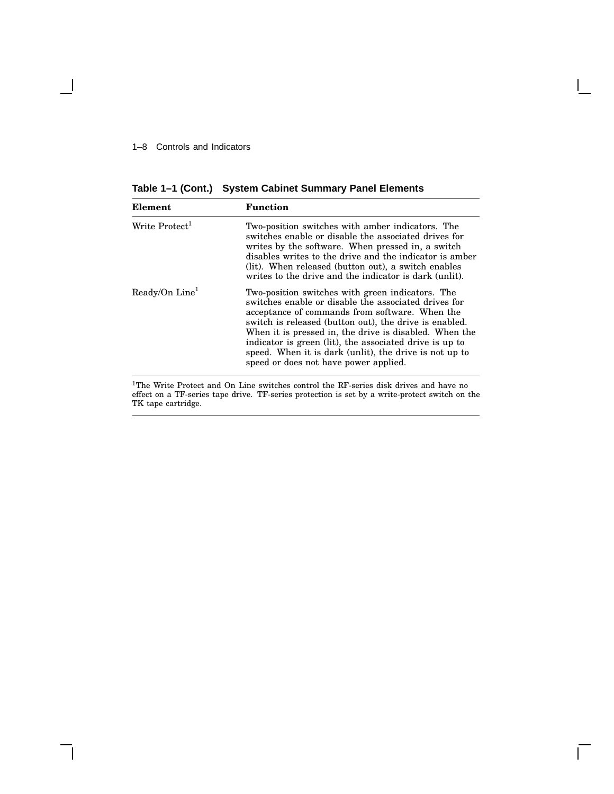#### 1–8 Controls and Indicators

 $\overline{\phantom{a}}$ 

**Table 1–1 (Cont.) System Cabinet Summary Panel Elements**

| Element                    | <b>Function</b>                                                                                                                                                                                                                                                                                                                                                                                                                              |
|----------------------------|----------------------------------------------------------------------------------------------------------------------------------------------------------------------------------------------------------------------------------------------------------------------------------------------------------------------------------------------------------------------------------------------------------------------------------------------|
| Write Protect <sup>1</sup> | Two-position switches with amber indicators. The<br>switches enable or disable the associated drives for<br>writes by the software. When pressed in, a switch<br>disables writes to the drive and the indicator is amber<br>(lit). When released (button out), a switch enables<br>writes to the drive and the indicator is dark (unlit).                                                                                                    |
| Ready/On Line <sup>1</sup> | Two-position switches with green indicators. The<br>switches enable or disable the associated drives for<br>acceptance of commands from software. When the<br>switch is released (button out), the drive is enabled.<br>When it is pressed in, the drive is disabled. When the<br>indicator is green (lit), the associated drive is up to<br>speed. When it is dark (unlit), the drive is not up to<br>speed or does not have power applied. |
|                            |                                                                                                                                                                                                                                                                                                                                                                                                                                              |

<sup>1</sup>The Write Protect and On Line switches control the RF-series disk drives and have no effect on a TF-series tape drive. TF-series protection is set by a write-protect switch on the TK tape cartridge.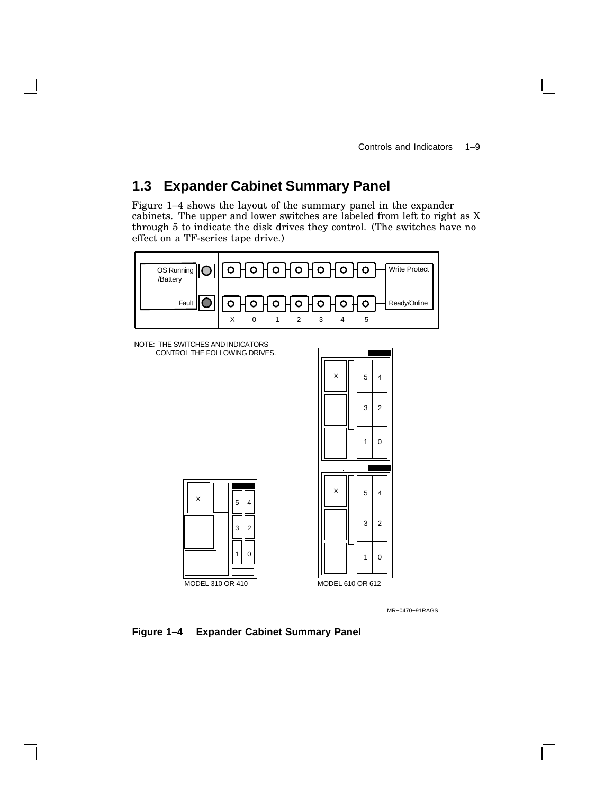### **1.3 Expander Cabinet Summary Panel**

Figure 1–4 shows the layout of the summary panel in the expander cabinets. The upper and lower switches are labeled from left to right as X through 5 to indicate the disk drives they control. (The switches have no effect on a TF-series tape drive.)



NOTE: THE SWITCHES AND INDICATORS CONTROL THE FOLLOWING DRIVES.

X





MR−0470−91RAGS



1 || 0

3 || 2

5 || 4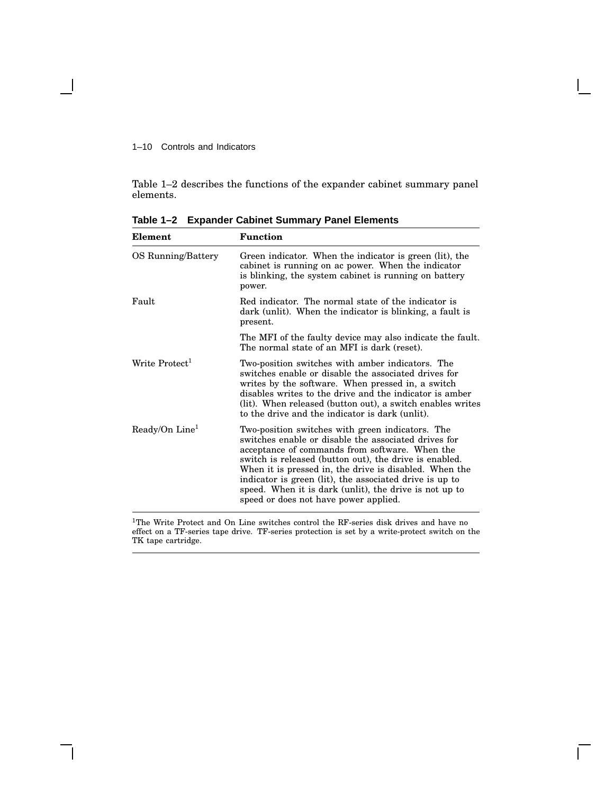#### 1–10 Controls and Indicators

Table 1–2 describes the functions of the expander cabinet summary panel elements.

| Element                    | <b>Function</b>                                                                                                                                                                                                                                                                                                                                                                                                                              |
|----------------------------|----------------------------------------------------------------------------------------------------------------------------------------------------------------------------------------------------------------------------------------------------------------------------------------------------------------------------------------------------------------------------------------------------------------------------------------------|
| OS Running/Battery         | Green indicator. When the indicator is green (lit), the<br>cabinet is running on ac power. When the indicator<br>is blinking, the system cabinet is running on battery<br>power.                                                                                                                                                                                                                                                             |
| Fault                      | Red indicator. The normal state of the indicator is<br>dark (unlit). When the indicator is blinking, a fault is<br>present.                                                                                                                                                                                                                                                                                                                  |
|                            | The MFI of the faulty device may also indicate the fault.<br>The normal state of an MFI is dark (reset).                                                                                                                                                                                                                                                                                                                                     |
| Write Protect <sup>1</sup> | Two-position switches with amber indicators. The<br>switches enable or disable the associated drives for<br>writes by the software. When pressed in, a switch<br>disables writes to the drive and the indicator is amber<br>(lit). When released (button out), a switch enables writes<br>to the drive and the indicator is dark (unlit).                                                                                                    |
| Ready/On Line <sup>1</sup> | Two-position switches with green indicators. The<br>switches enable or disable the associated drives for<br>acceptance of commands from software. When the<br>switch is released (button out), the drive is enabled.<br>When it is pressed in, the drive is disabled. When the<br>indicator is green (lit), the associated drive is up to<br>speed. When it is dark (unlit), the drive is not up to<br>speed or does not have power applied. |

**Table 1–2 Expander Cabinet Summary Panel Elements**

<sup>1</sup>The Write Protect and On Line switches control the RF-series disk drives and have no effect on a TF-series tape drive. TF-series protection is set by a write-protect switch on the TK tape cartridge.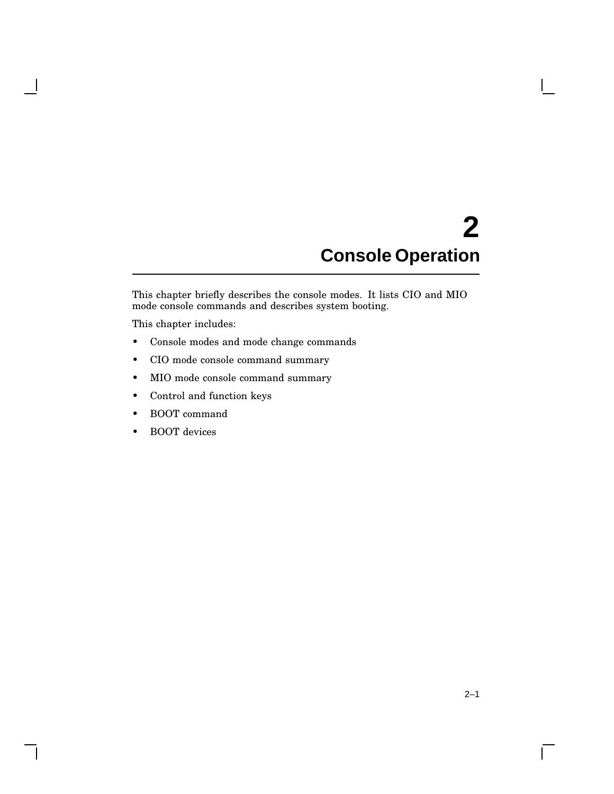# **2 Console Operation**

This chapter briefly describes the console modes. It lists CIO and MIO mode console commands and describes system booting.

This chapter includes:

- Console modes and mode change commands
- CIO mode console command summary
- MIO mode console command summary
- Control and function keys
- BOOT command
- BOOT devices

 $\mathbf{I}$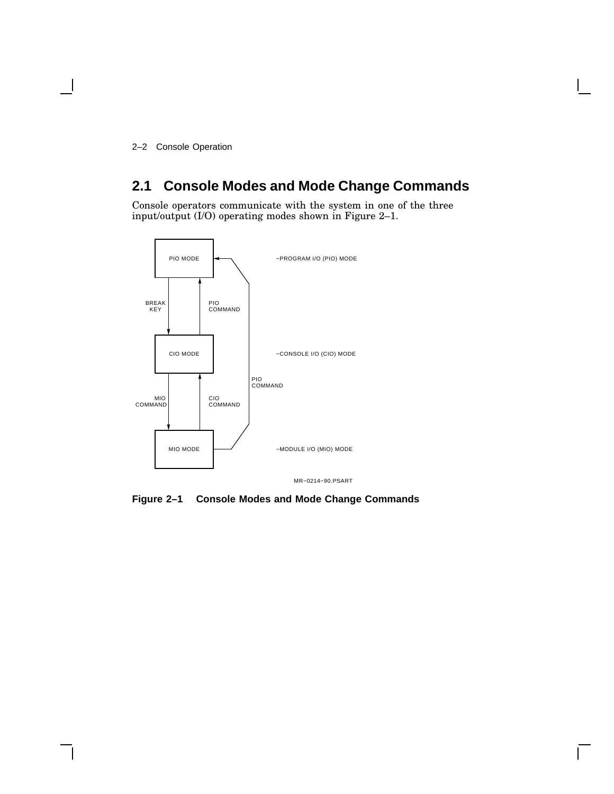2–2 Console Operation

### **2.1 Console Modes and Mode Change Commands**

Console operators communicate with the system in one of the three input/output (I/O) operating modes shown in Figure 2–1.



**Figure 2–1 Console Modes and Mode Change Commands**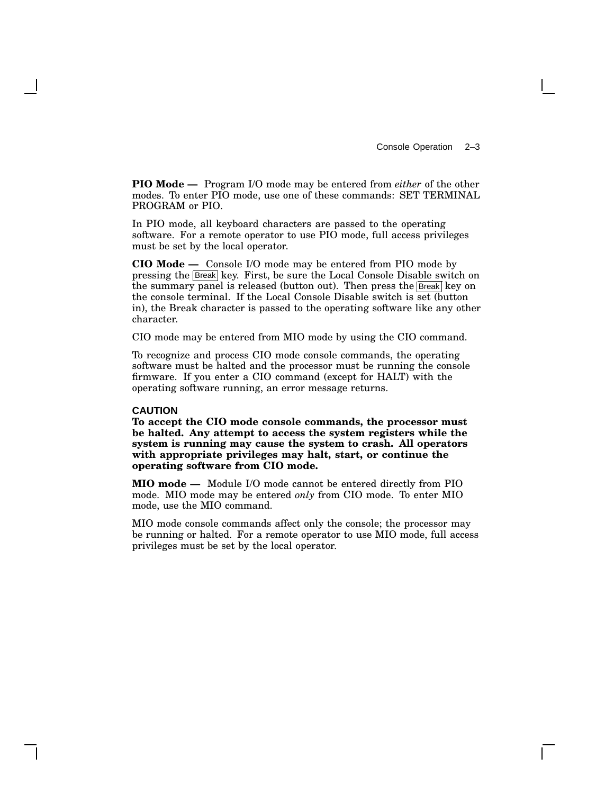Console Operation 2–3

**PIO Mode —** Program I/O mode may be entered from *either* of the other modes. To enter PIO mode, use one of these commands: SET TERMINAL PROGRAM or PIO.

In PIO mode, all keyboard characters are passed to the operating software. For a remote operator to use PIO mode, full access privileges must be set by the local operator.

**CIO Mode —** Console I/O mode may be entered from PIO mode by pressing the Break key. First, be sure the Local Console Disable switch on the summary panel is released (button out). Then press the **Break** key on the console terminal. If the Local Console Disable switch is set (button in), the Break character is passed to the operating software like any other character.

CIO mode may be entered from MIO mode by using the CIO command.

To recognize and process CIO mode console commands, the operating software must be halted and the processor must be running the console firmware. If you enter a CIO command (except for HALT) with the operating software running, an error message returns.

#### **CAUTION**

**To accept the CIO mode console commands, the processor must be halted. Any attempt to access the system registers while the system is running may cause the system to crash. All operators with appropriate privileges may halt, start, or continue the operating software from CIO mode.**

**MIO mode —** Module I/O mode cannot be entered directly from PIO mode. MIO mode may be entered *only* from CIO mode. To enter MIO mode, use the MIO command.

MIO mode console commands affect only the console; the processor may be running or halted. For a remote operator to use MIO mode, full access privileges must be set by the local operator.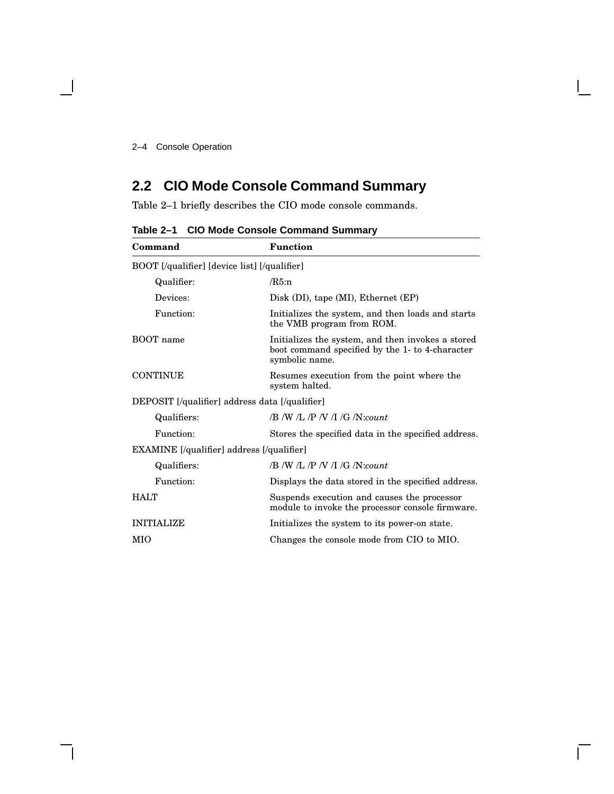## **2.2 CIO Mode Console Command Summary**

Table 2–1 briefly describes the CIO mode console commands.

| Command                                          | <b>Function</b>                                                                                                        |  |
|--------------------------------------------------|------------------------------------------------------------------------------------------------------------------------|--|
| BOOT [/qualifier] [device list] [/qualifier]     |                                                                                                                        |  |
| Qualifier:                                       | /R5:n                                                                                                                  |  |
| Devices:                                         | $Disk$ (DI), tape (MI), Ethernet (EP)                                                                                  |  |
| Function:                                        | Initializes the system, and then loads and starts<br>the VMB program from ROM.                                         |  |
| BOOT name                                        | Initializes the system, and then invokes a stored<br>boot command specified by the 1- to 4-character<br>symbolic name. |  |
| <b>CONTINUE</b>                                  | Resumes execution from the point where the<br>system halted.                                                           |  |
| DEPOSIT [/qualifier] address data [/qualifier]   |                                                                                                                        |  |
| Qualifiers:                                      | $/B/N$ /L /P /V /L /G /N:count                                                                                         |  |
| Function:                                        | Stores the specified data in the specified address.                                                                    |  |
| <b>EXAMINE</b> [/qualifier] address [/qualifier] |                                                                                                                        |  |
| Qualifiers:                                      | $/B$ /W /L /P /V /I /G /N:count                                                                                        |  |
| Function:                                        | Displays the data stored in the specified address.                                                                     |  |
| HATT                                             | Suspends execution and causes the processor<br>module to invoke the processor console firmware.                        |  |
| <b>INITIALIZE</b>                                | Initializes the system to its power-on state.                                                                          |  |
| MIO                                              | Changes the console mode from CIO to MIO.                                                                              |  |

**Table 2–1 CIO Mode Console Command Summary**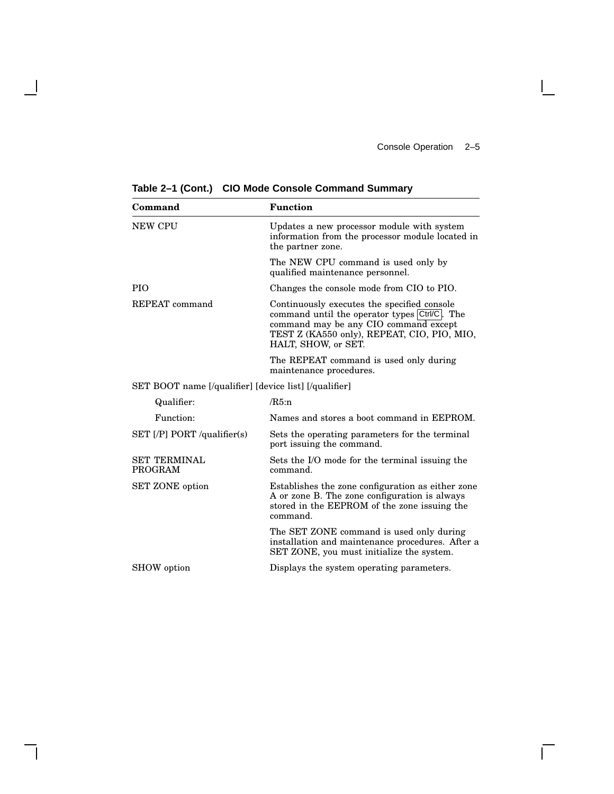$\overline{\Gamma}$ 

| Command                                               | <b>Function</b>                                                                                                                                                                                            |  |  |
|-------------------------------------------------------|------------------------------------------------------------------------------------------------------------------------------------------------------------------------------------------------------------|--|--|
| <b>NEW CPU</b>                                        | Updates a new processor module with system<br>information from the processor module located in<br>the partner zone.                                                                                        |  |  |
|                                                       | The NEW CPU command is used only by<br>qualified maintenance personnel.                                                                                                                                    |  |  |
| <b>PIO</b>                                            | Changes the console mode from CIO to PIO.                                                                                                                                                                  |  |  |
| REPEAT command                                        | Continuously executes the specified console<br>command until the operator types Ctrl/C. The<br>command may be any CIO command except<br>TEST Z (KA550 only), REPEAT, CIO, PIO, MIO,<br>HALT, SHOW, or SET. |  |  |
|                                                       | The REPEAT command is used only during<br>maintenance procedures.                                                                                                                                          |  |  |
| SET BOOT name [/qualifier] [device list] [/qualifier] |                                                                                                                                                                                                            |  |  |
| Qualifier:                                            | /R5:n                                                                                                                                                                                                      |  |  |
| Function:                                             | Names and stores a boot command in EEPROM.                                                                                                                                                                 |  |  |
| SET [P] PORT/qualifier(s)                             | Sets the operating parameters for the terminal<br>port issuing the command.                                                                                                                                |  |  |
| <b>SET TERMINAL</b><br>PROGRAM                        | Sets the I/O mode for the terminal issuing the<br>command.                                                                                                                                                 |  |  |
| <b>SET ZONE</b> option                                | Establishes the zone configuration as either zone<br>A or zone B. The zone configuration is always<br>stored in the EEPROM of the zone issuing the<br>command.                                             |  |  |
|                                                       | The SET ZONE command is used only during<br>installation and maintenance procedures. After a<br>SET ZONE, you must initialize the system.                                                                  |  |  |
| SHOW option                                           | Displays the system operating parameters.                                                                                                                                                                  |  |  |

**Table 2–1 (Cont.) CIO Mode Console Command Summary**

 $\overline{\phantom{a}}$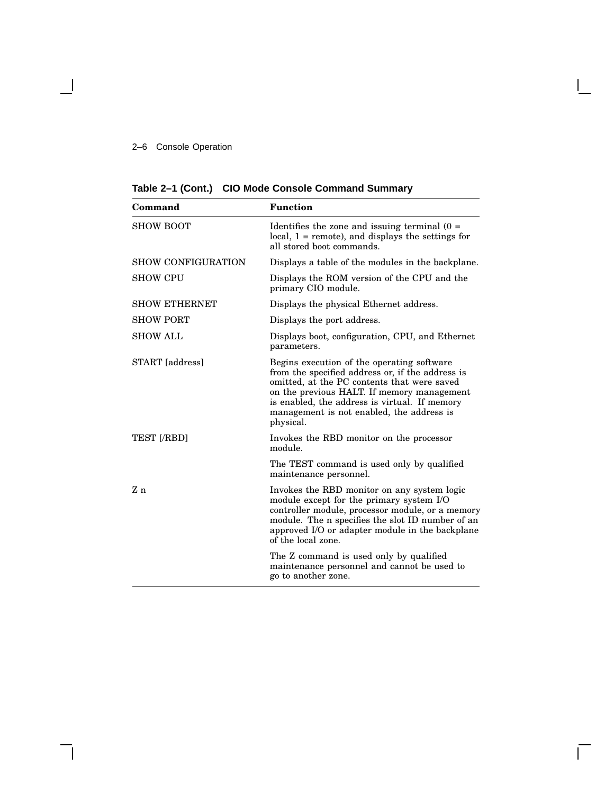#### 2–6 Console Operation

 $\blacksquare$ 

|  |  | Table 2-1 (Cont.) CIO Mode Console Command Summary |  |  |
|--|--|----------------------------------------------------|--|--|
|--|--|----------------------------------------------------|--|--|

| Command                   | <b>Function</b>                                                                                                                                                                                                                                                                                        |  |  |
|---------------------------|--------------------------------------------------------------------------------------------------------------------------------------------------------------------------------------------------------------------------------------------------------------------------------------------------------|--|--|
| <b>SHOW BOOT</b>          | Identifies the zone and issuing terminal $(0 =$<br>local, $1 =$ remote), and displays the settings for<br>all stored boot commands.                                                                                                                                                                    |  |  |
| <b>SHOW CONFIGURATION</b> | Displays a table of the modules in the backplane.                                                                                                                                                                                                                                                      |  |  |
| <b>SHOW CPU</b>           | Displays the ROM version of the CPU and the<br>primary CIO module.                                                                                                                                                                                                                                     |  |  |
| <b>SHOW ETHERNET</b>      | Displays the physical Ethernet address.                                                                                                                                                                                                                                                                |  |  |
| <b>SHOW PORT</b>          | Displays the port address.                                                                                                                                                                                                                                                                             |  |  |
| <b>SHOW ALL</b>           | Displays boot, configuration, CPU, and Ethernet<br>parameters.                                                                                                                                                                                                                                         |  |  |
| START [address]           | Begins execution of the operating software<br>from the specified address or, if the address is<br>omitted, at the PC contents that were saved<br>on the previous HALT. If memory management<br>is enabled, the address is virtual. If memory<br>management is not enabled, the address is<br>physical. |  |  |
| <b>TEST [/RBD]</b>        | Invokes the RBD monitor on the processor<br>module.                                                                                                                                                                                                                                                    |  |  |
|                           | The TEST command is used only by qualified<br>maintenance personnel.                                                                                                                                                                                                                                   |  |  |
| Z n                       | Invokes the RBD monitor on any system logic<br>module except for the primary system I/O<br>controller module, processor module, or a memory<br>module. The n specifies the slot ID number of an<br>approved I/O or adapter module in the backplane<br>of the local zone.                               |  |  |
|                           | The Z command is used only by qualified<br>maintenance personnel and cannot be used to<br>go to another zone.                                                                                                                                                                                          |  |  |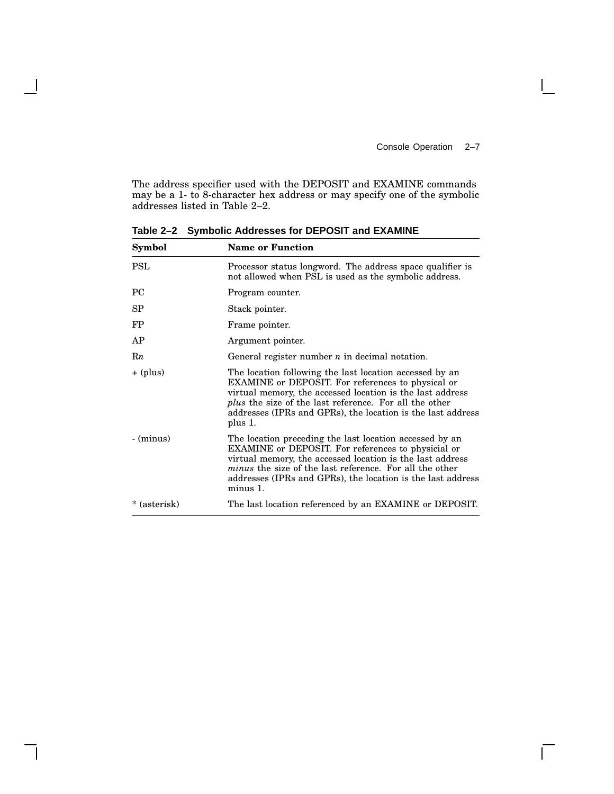$\Box$ 

The address specifier used with the DEPOSIT and EXAMINE commands may be a 1- to 8-character hex address or may specify one of the symbolic addresses listed in Table 2–2.

| Symbol       | <b>Name or Function</b>                                                                                                                                                                                                                                                                                                    |  |
|--------------|----------------------------------------------------------------------------------------------------------------------------------------------------------------------------------------------------------------------------------------------------------------------------------------------------------------------------|--|
| PSL          | Processor status longword. The address space qualifier is<br>not allowed when PSL is used as the symbolic address.                                                                                                                                                                                                         |  |
| PC           | Program counter.                                                                                                                                                                                                                                                                                                           |  |
| SP           | Stack pointer.                                                                                                                                                                                                                                                                                                             |  |
| FP           | Frame pointer.                                                                                                                                                                                                                                                                                                             |  |
| AP           | Argument pointer.                                                                                                                                                                                                                                                                                                          |  |
| Rn           | General register number $n$ in decimal notation.                                                                                                                                                                                                                                                                           |  |
| $+$ (plus)   | The location following the last location accessed by an<br>EXAMINE or DEPOSIT. For references to physical or<br>virtual memory, the accessed location is the last address<br><i>plus</i> the size of the last reference. For all the other<br>addresses (IPRs and GPRs), the location is the last address<br>plus 1.       |  |
| $-$ (minus)  | The location preceding the last location accessed by an<br>EXAMINE or DEPOSIT. For references to physicial or<br>virtual memory, the accessed location is the last address<br><i>minus</i> the size of the last reference. For all the other<br>addresses (IPRs and GPRs), the location is the last address<br>$minus 1$ . |  |
| * (asterisk) | The last location referenced by an EXAMINE or DEPOSIT.                                                                                                                                                                                                                                                                     |  |

**Table 2–2 Symbolic Addresses for DEPOSIT and EXAMINE**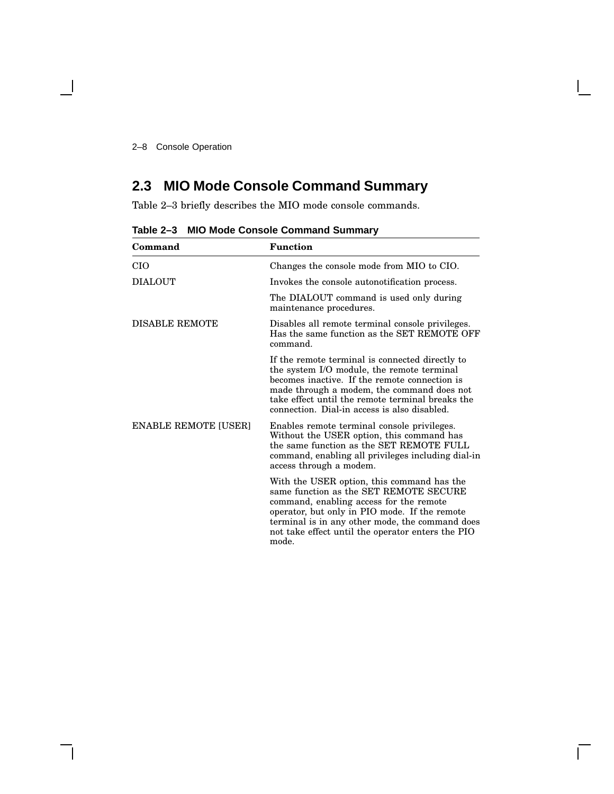## **2.3 MIO Mode Console Command Summary**

Table 2–3 briefly describes the MIO mode console commands.

| Command                     | <b>Function</b>                                                                                                                                                                                                                                                                                   |
|-----------------------------|---------------------------------------------------------------------------------------------------------------------------------------------------------------------------------------------------------------------------------------------------------------------------------------------------|
| CIO                         | Changes the console mode from MIO to CIO.                                                                                                                                                                                                                                                         |
| DIALOUT                     | Invokes the console autonotification process.                                                                                                                                                                                                                                                     |
|                             | The DIALOUT command is used only during<br>maintenance procedures.                                                                                                                                                                                                                                |
| <b>DISABLE REMOTE</b>       | Disables all remote terminal console privileges.<br>Has the same function as the SET REMOTE OFF<br>command.                                                                                                                                                                                       |
|                             | If the remote terminal is connected directly to<br>the system I/O module, the remote terminal<br>becomes inactive. If the remote connection is<br>made through a modem, the command does not<br>take effect until the remote terminal breaks the<br>connection. Dial-in access is also disabled.  |
| <b>ENABLE REMOTE [USER]</b> | Enables remote terminal console privileges.<br>Without the USER option, this command has<br>the same function as the SET REMOTE FULL<br>command, enabling all privileges including dial-in<br>access through a modem.                                                                             |
|                             | With the USER option, this command has the<br>same function as the SET REMOTE SECURE<br>command, enabling access for the remote<br>operator, but only in PIO mode. If the remote<br>terminal is in any other mode, the command does<br>not take effect until the operator enters the PIO<br>mode. |

**Table 2–3 MIO Mode Console Command Summary**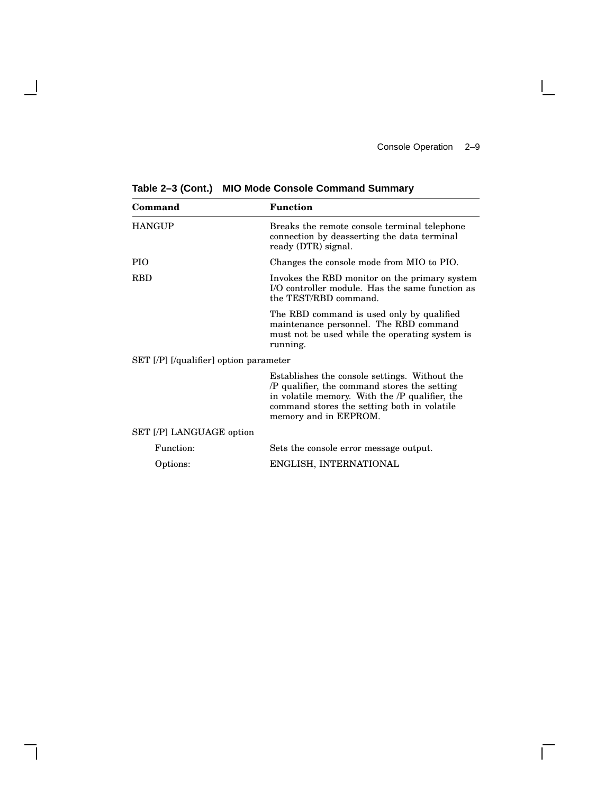$\overline{\Gamma}$ 

| Command                                  | <b>Function</b>                                                                                                                                                                                                         |
|------------------------------------------|-------------------------------------------------------------------------------------------------------------------------------------------------------------------------------------------------------------------------|
| <b>HANGUP</b>                            | Breaks the remote console terminal telephone<br>connection by deasserting the data terminal<br>ready (DTR) signal.                                                                                                      |
| <b>PIO</b>                               | Changes the console mode from MIO to PIO.                                                                                                                                                                               |
| RBD                                      | Invokes the RBD monitor on the primary system<br>I/O controller module. Has the same function as<br>the TEST/RBD command.                                                                                               |
|                                          | The RBD command is used only by qualified<br>maintenance personnel. The RBD command<br>must not be used while the operating system is<br>running.                                                                       |
| $SET$ [/P] [/qualifier] option parameter |                                                                                                                                                                                                                         |
|                                          | Establishes the console settings. Without the<br>/P qualifier, the command stores the setting<br>in volatile memory. With the /P qualifier, the<br>command stores the setting both in volatile<br>memory and in EEPROM. |
| SET [/P] LANGUAGE option                 |                                                                                                                                                                                                                         |
| Function:                                | Sets the console error message output.                                                                                                                                                                                  |
| Options:                                 | ENGLISH, INTERNATIONAL                                                                                                                                                                                                  |

**Table 2–3 (Cont.) MIO Mode Console Command Summary**

- 1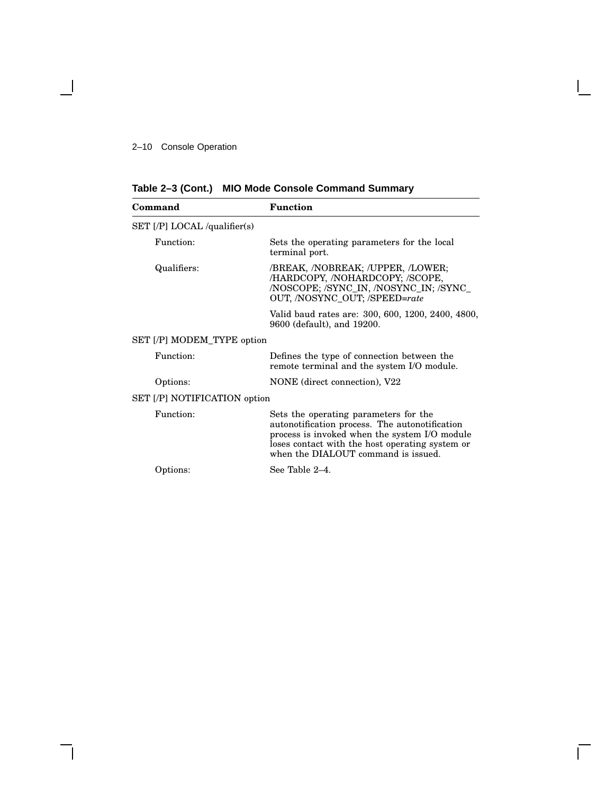|  | Table 2-3 (Cont.) MIO Mode Console Command Summary |  |
|--|----------------------------------------------------|--|
|--|----------------------------------------------------|--|

| Command                        | <b>Function</b>                                                                                                                                                                                                                    |
|--------------------------------|------------------------------------------------------------------------------------------------------------------------------------------------------------------------------------------------------------------------------------|
| $SET$ [/P] LOCAL /qualifier(s) |                                                                                                                                                                                                                                    |
| Function:                      | Sets the operating parameters for the local<br>terminal port.                                                                                                                                                                      |
| Qualifiers:                    | /BREAK, /NOBREAK; /UPPER, /LOWER;<br>/HARDCOPY, /NOHARDCOPY; /SCOPE,<br>/NOSCOPE; /SYNC_IN, /NOSYNC_IN; /SYNC_<br>OUT, /NOSYNC_OUT; /SPEED=rate                                                                                    |
|                                | Valid baud rates are: 300, 600, 1200, 2400, 4800,<br>9600 (default), and 19200.                                                                                                                                                    |
| SET [/P] MODEM TYPE option     |                                                                                                                                                                                                                                    |
| Function:                      | Defines the type of connection between the<br>remote terminal and the system I/O module.                                                                                                                                           |
| Options:                       | NONE (direct connection), V22                                                                                                                                                                                                      |
| SET [/P] NOTIFICATION option   |                                                                                                                                                                                                                                    |
| Function:                      | Sets the operating parameters for the<br>autonotification process. The autonotification<br>process is invoked when the system I/O module<br>loses contact with the host operating system or<br>when the DIALOUT command is issued. |
| Options:                       | See Table 2-4.                                                                                                                                                                                                                     |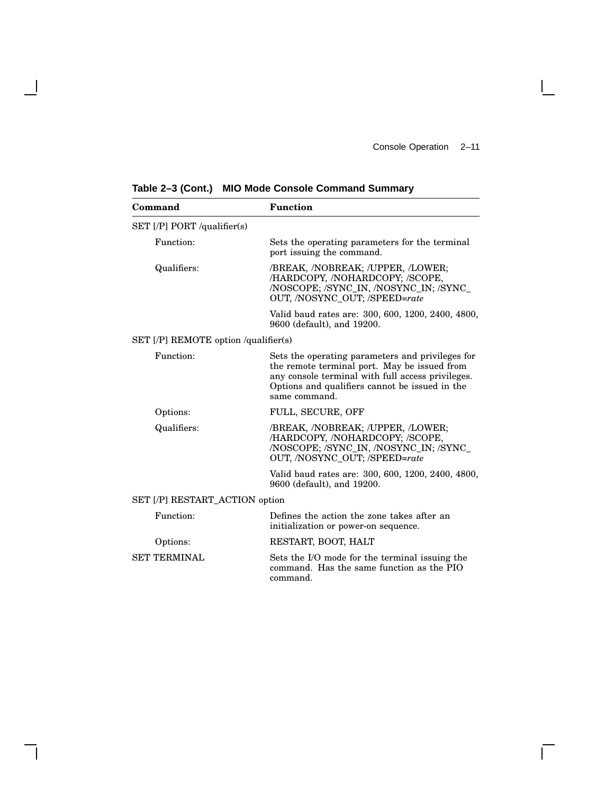$\Box$ 

| Command                              | <b>Function</b>                                                                                                                                                                                                          |  |
|--------------------------------------|--------------------------------------------------------------------------------------------------------------------------------------------------------------------------------------------------------------------------|--|
| SET [/P] PORT /qualifier(s)          |                                                                                                                                                                                                                          |  |
| Function:                            | Sets the operating parameters for the terminal<br>port issuing the command.                                                                                                                                              |  |
| Qualifiers:                          | /BREAK, /NOBREAK; /UPPER, /LOWER;<br>/HARDCOPY, /NOHARDCOPY; /SCOPE,<br>/NOSCOPE; /SYNC_IN, /NOSYNC_IN; /SYNC_<br>OUT, /NOSYNC_OUT; /SPEED=rate                                                                          |  |
|                                      | Valid baud rates are: 300, 600, 1200, 2400, 4800,<br>9600 (default), and 19200.                                                                                                                                          |  |
| SET [/P] REMOTE option /qualifier(s) |                                                                                                                                                                                                                          |  |
| Function:                            | Sets the operating parameters and privileges for<br>the remote terminal port. May be issued from<br>any console terminal with full access privileges.<br>Options and qualifiers cannot be issued in the<br>same command. |  |
| Options:                             | FULL, SECURE, OFF                                                                                                                                                                                                        |  |
| Qualifiers:                          | /BREAK, /NOBREAK; /UPPER, /LOWER;<br>/HARDCOPY, /NOHARDCOPY; /SCOPE,<br>/NOSCOPE; /SYNC_IN, /NOSYNC_IN; /SYNC_<br>OUT, /NOSYNC_OUT; /SPEED=rate                                                                          |  |
|                                      | Valid baud rates are: 300, 600, 1200, 2400, 4800,<br>9600 (default), and 19200.                                                                                                                                          |  |
| SET [/P] RESTART_ACTION option       |                                                                                                                                                                                                                          |  |
| Function:                            | Defines the action the zone takes after an<br>initialization or power-on sequence.                                                                                                                                       |  |
| Options:                             | RESTART, BOOT, HALT                                                                                                                                                                                                      |  |
| SET TERMINAL                         | Sets the I/O mode for the terminal issuing the<br>command. Has the same function as the PIO<br>command.                                                                                                                  |  |
|                                      |                                                                                                                                                                                                                          |  |

**Table 2–3 (Cont.) MIO Mode Console Command Summary**

 $\blacksquare$ 

H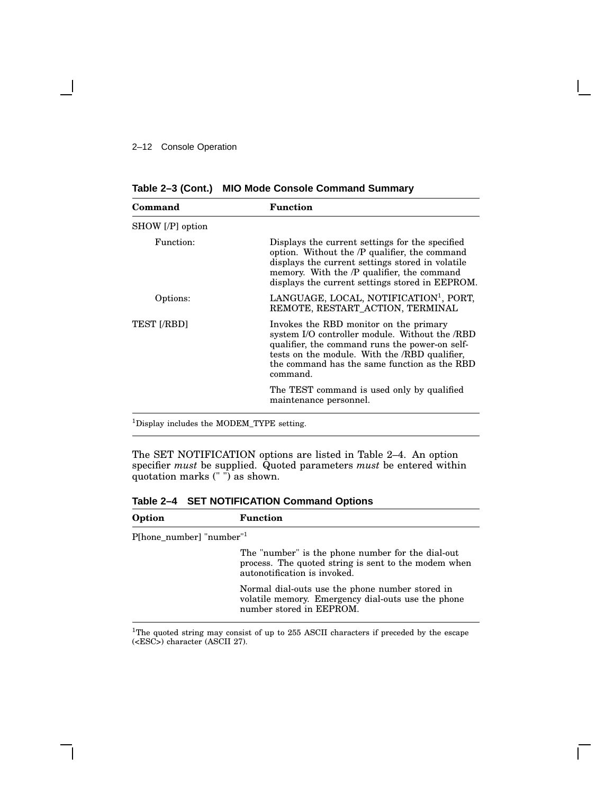| Command          | <b>Function</b>                                                                                                                                                                                                                                         |
|------------------|---------------------------------------------------------------------------------------------------------------------------------------------------------------------------------------------------------------------------------------------------------|
|                  |                                                                                                                                                                                                                                                         |
| SHOW [/P] option |                                                                                                                                                                                                                                                         |
| Function:        | Displays the current settings for the specified<br>option. Without the /P qualifier, the command<br>displays the current settings stored in volatile<br>memory. With the /P qualifier, the command<br>displays the current settings stored in EEPROM.   |
| Options:         | LANGUAGE, LOCAL, NOTIFICATION <sup>1</sup> , PORT,<br>REMOTE, RESTART_ACTION, TERMINAL                                                                                                                                                                  |
| TEST [/RBD]      | Invokes the RBD monitor on the primary<br>system I/O controller module. Without the /RBD<br>qualifier, the command runs the power-on self-<br>tests on the module. With the /RBD qualifier,<br>the command has the same function as the RBD<br>command. |
|                  | The TEST command is used only by qualified<br>maintenance personnel.                                                                                                                                                                                    |

**Table 2–3 (Cont.) MIO Mode Console Command Summary**

<sup>1</sup>Display includes the MODEM\_TYPE setting.

The SET NOTIFICATION options are listed in Table 2–4. An option specifier *must* be supplied. Quoted parameters *must* be entered within quotation marks (" ") as shown.

**Table 2–4 SET NOTIFICATION Command Options**

| Option                  | <b>Function</b>                                                                                                                           |
|-------------------------|-------------------------------------------------------------------------------------------------------------------------------------------|
| P[hone_number] "number" |                                                                                                                                           |
|                         | The "number" is the phone number for the dial-out<br>process. The quoted string is sent to the modem when<br>autonotification is invoked. |
|                         | Normal dial-outs use the phone number stored in<br>volatile memory. Emergency dial-outs use the phone<br>number stored in EEPROM.         |

<sup>1</sup>The quoted string may consist of up to 255 ASCII characters if preceded by the escape (<ESC>) character (ASCII 27).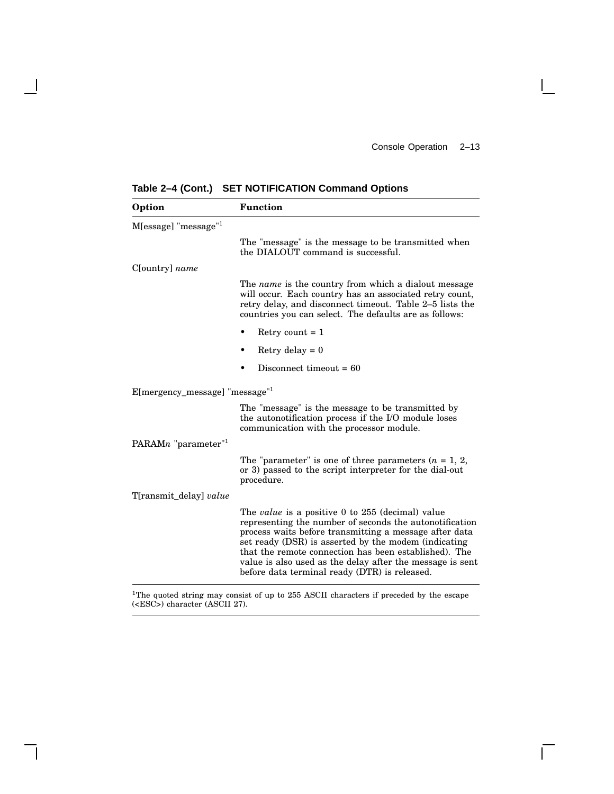$\overline{\Gamma}$ 

| Option                                       | <b>Function</b>                                                                                                                                                                                                                                                                                                                                                                                             |
|----------------------------------------------|-------------------------------------------------------------------------------------------------------------------------------------------------------------------------------------------------------------------------------------------------------------------------------------------------------------------------------------------------------------------------------------------------------------|
| M[essage] "message" <sup>1</sup>             |                                                                                                                                                                                                                                                                                                                                                                                                             |
|                                              | The "message" is the message to be transmitted when<br>the DIALOUT command is successful.                                                                                                                                                                                                                                                                                                                   |
| C[ountry] name                               |                                                                                                                                                                                                                                                                                                                                                                                                             |
|                                              | The <i>name</i> is the country from which a dialout message<br>will occur. Each country has an associated retry count,<br>retry delay, and disconnect timeout. Table 2-5 lists the<br>countries you can select. The defaults are as follows:                                                                                                                                                                |
|                                              | Retry count $= 1$<br>٠                                                                                                                                                                                                                                                                                                                                                                                      |
|                                              | Retry delay $= 0$                                                                                                                                                                                                                                                                                                                                                                                           |
|                                              | Disconnect timeout $= 60$                                                                                                                                                                                                                                                                                                                                                                                   |
| $E[mergency_message]$ "message" <sup>1</sup> |                                                                                                                                                                                                                                                                                                                                                                                                             |
|                                              | The "message" is the message to be transmitted by<br>the autonotification process if the I/O module loses<br>communication with the processor module.                                                                                                                                                                                                                                                       |
| PARAMn "parameter" <sup>1</sup>              |                                                                                                                                                                                                                                                                                                                                                                                                             |
|                                              | The "parameter" is one of three parameters $(n = 1, 2, )$<br>or 3) passed to the script interpreter for the dial-out<br>procedure.                                                                                                                                                                                                                                                                          |
| T[ransmit_delay] value                       |                                                                                                                                                                                                                                                                                                                                                                                                             |
|                                              | The <i>value</i> is a positive 0 to 255 (decimal) value<br>representing the number of seconds the autonotification<br>process waits before transmitting a message after data<br>set ready (DSR) is asserted by the modem (indicating<br>that the remote connection has been established). The<br>value is also used as the delay after the message is sent<br>before data terminal ready (DTR) is released. |

**Table 2–4 (Cont.) SET NOTIFICATION Command Options**

 $\overline{\phantom{a}}$ 

 $1$ <sup>1</sup>The quoted string may consist of up to 255 ASCII characters if preceded by the escape (<ESC>) character (ASCII 27).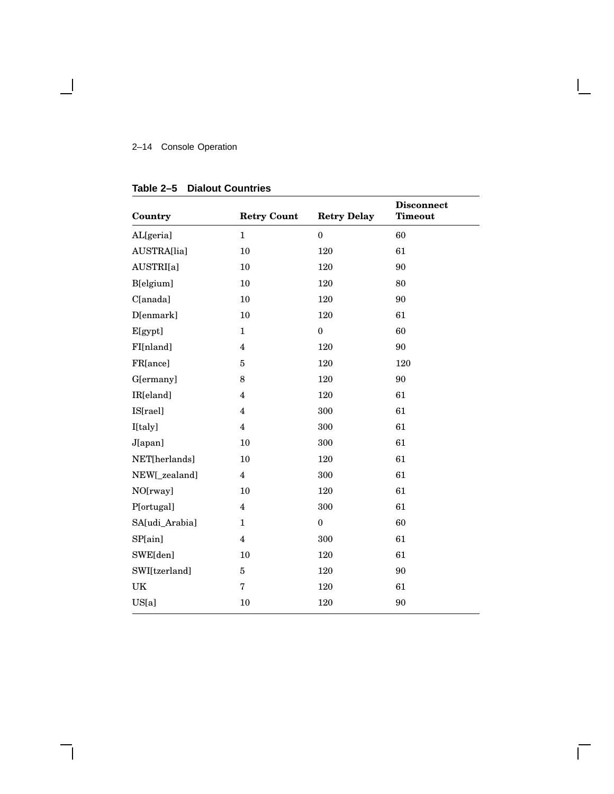#### 2–14 Console Operation

### **Country Retry Count Retry Delay Disconnect Timeout** AL[geria] 1 0 60 AUSTRA[lia] 10 120 61 AUSTRI[a] 10 120 90 B[elgium] 10 120 80 C[anada] 10 120 90 D[enmark] 10 120 61  $\begin{matrix} \text{E}[\text{gypt}] \end{matrix} \qquad \qquad \begin{matrix} 1 \end{matrix} \qquad \qquad \begin{matrix} 0 \end{matrix} \qquad \qquad \begin{matrix} 60 \end{matrix} \end{matrix}$ FI[nland] 4 120 90 FR[ance] 5 120 120 G[ermany] 8 120 90 IR[eland] 4 120 61 IS[rael] 4 300 61 I[taly] 4 300 61 J[apan] 10 300 61 NET[herlands] 10 120 61 NEW[\_zealand] 4 300 61 NO[rway] 10 120 61 P[ortugal] 4 300 61 SA[udi\_Arabia] 1 0 60 SP[ain] 4 300 61 SWE[den] 10 120 61 SWI[tzerland] 5 120 90 UK 7 120 61 US[a] 10 120 90

#### **Table 2–5 Dialout Countries**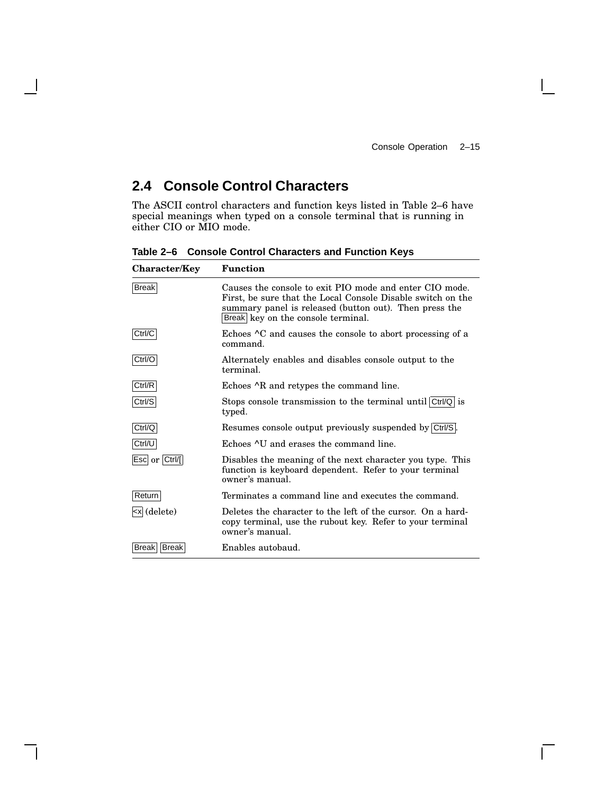$\mathbf{L}$ 

### **2.4 Console Control Characters**

The ASCII control characters and function keys listed in Table 2–6 have special meanings when typed on a console terminal that is running in either CIO or MIO mode.

| <b>Character/Key</b>                                                                                                                                                             | <b>Function</b>                                                                                                                                                                                                        |
|----------------------------------------------------------------------------------------------------------------------------------------------------------------------------------|------------------------------------------------------------------------------------------------------------------------------------------------------------------------------------------------------------------------|
| <b>Break</b>                                                                                                                                                                     | Causes the console to exit PIO mode and enter CIO mode.<br>First, be sure that the Local Console Disable switch on the<br>summary panel is released (button out). Then press the<br>Break key on the console terminal. |
| Ctrl/C                                                                                                                                                                           | Echoes <sup>^</sup> C and causes the console to abort processing of a<br>command.                                                                                                                                      |
| Ctrl/O                                                                                                                                                                           | Alternately enables and disables console output to the<br>terminal.                                                                                                                                                    |
| Ctrl/R                                                                                                                                                                           | Echoes $\wedge$ R and retypes the command line.                                                                                                                                                                        |
| Ctrl/S                                                                                                                                                                           | Stops console transmission to the terminal until Ctrl/Q is<br>typed.                                                                                                                                                   |
| Ctrl/Q                                                                                                                                                                           | Resumes console output previously suspended by Ctrl/S.                                                                                                                                                                 |
| Ctrl/U                                                                                                                                                                           | Echoes ^U and erases the command line.                                                                                                                                                                                 |
| Esc or Ctrl/[                                                                                                                                                                    | Disables the meaning of the next character you type. This<br>function is keyboard dependent. Refer to your terminal<br>owner's manual.                                                                                 |
| Return                                                                                                                                                                           | Terminates a command line and executes the command.                                                                                                                                                                    |
| <x (delete)<="" td=""><td>Deletes the character to the left of the cursor. On a hard-<br/>copy terminal, use the rubout key. Refer to your terminal<br/>owner's manual.</td></x> | Deletes the character to the left of the cursor. On a hard-<br>copy terminal, use the rubout key. Refer to your terminal<br>owner's manual.                                                                            |
| Break   Break                                                                                                                                                                    | Enables autobaud.                                                                                                                                                                                                      |

**Table 2–6 Console Control Characters and Function Keys**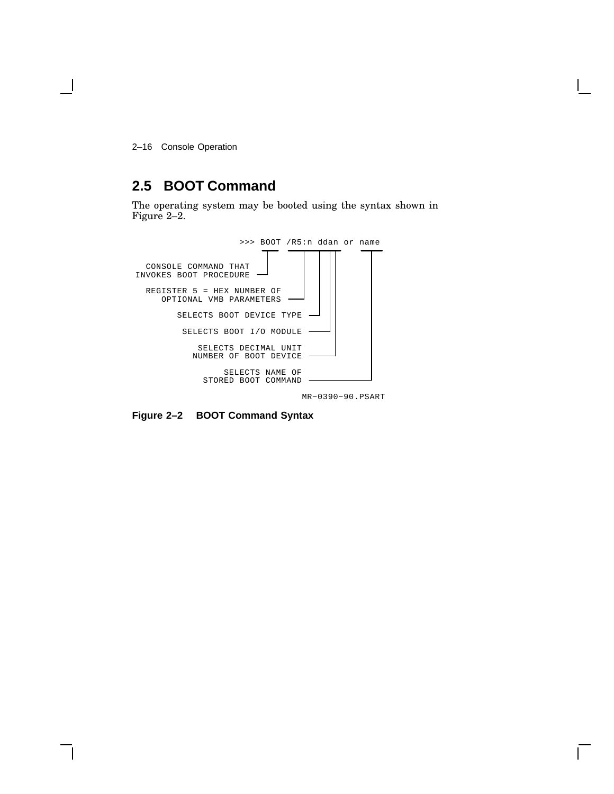2–16 Console Operation

### **2.5 BOOT Command**

The operating system may be booted using the syntax shown in Figure 2–2.



MR−0390−90.PSART

**Figure 2–2 BOOT Command Syntax**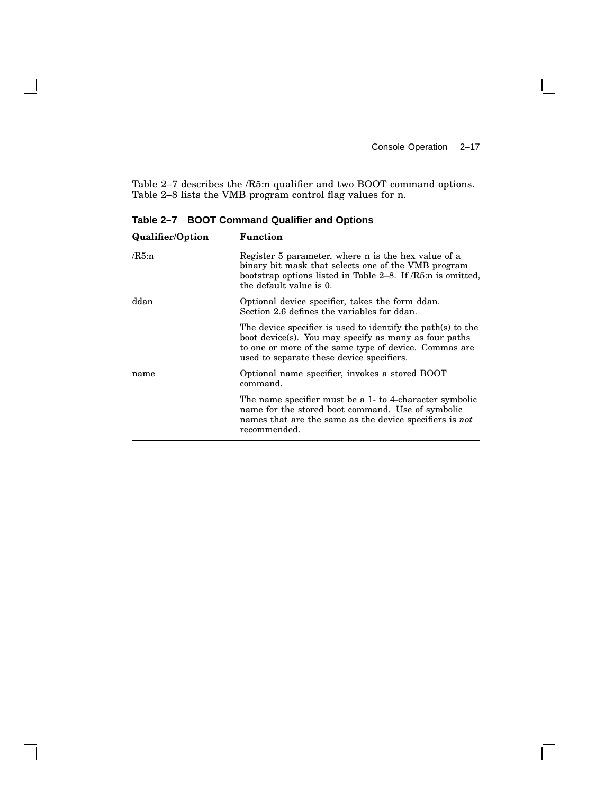$\overline{\Gamma}$ 

Table 2–7 describes the /R5:n qualifier and two BOOT command options. Table 2–8 lists the VMB program control flag values for n.

| <b>Qualifier/Option</b> | <b>Function</b>                                                                                                                                                                                                            |
|-------------------------|----------------------------------------------------------------------------------------------------------------------------------------------------------------------------------------------------------------------------|
| $/R5:$ n                | Register 5 parameter, where n is the hex value of a<br>binary bit mask that selects one of the VMB program<br>bootstrap options listed in Table 2–8. If /R5:n is omitted,<br>the default value is 0.                       |
| ddan                    | Optional device specifier, takes the form ddan.<br>Section 2.6 defines the variables for ddan.                                                                                                                             |
|                         | The device specifier is used to identify the path(s) to the<br>boot device(s). You may specify as many as four paths<br>to one or more of the same type of device. Commas are<br>used to separate these device specifiers. |
| name                    | Optional name specifier, invokes a stored BOOT<br>command.                                                                                                                                                                 |
|                         | The name specifier must be a 1- to 4-character symbolic<br>name for the stored boot command. Use of symbolic<br>names that are the same as the device specifiers is not<br>recommended.                                    |

**Table 2–7 BOOT Command Qualifier and Options**

H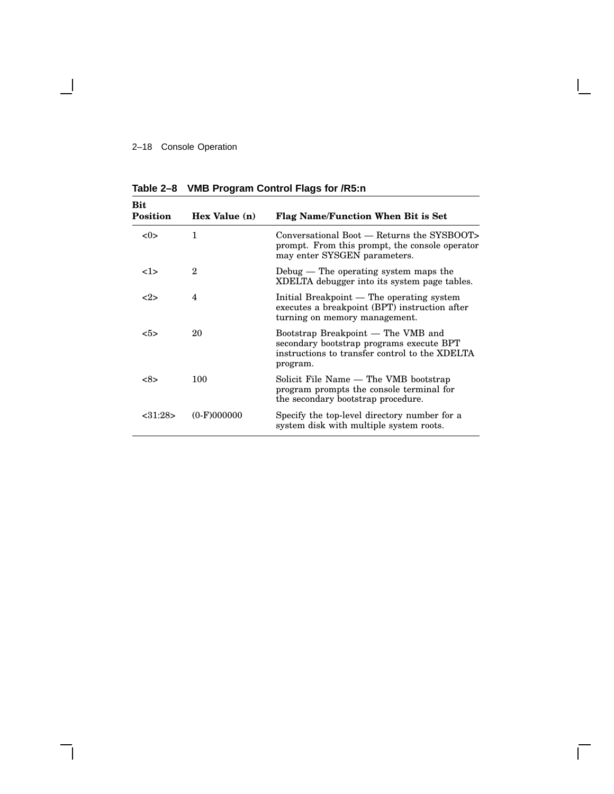### 2–18 Console Operation

 $\overline{\phantom{a}}$ 

| Bit<br>Position | Hex Value (n) | <b>Flag Name/Function When Bit is Set</b>                                                                                                    |
|-----------------|---------------|----------------------------------------------------------------------------------------------------------------------------------------------|
| < 0>            | 1             | Conversational Boot — Returns the SYSBOOT><br>prompt. From this prompt, the console operator<br>may enter SYSGEN parameters.                 |
| <1>             | $\mathbf{2}$  | Debug $-$ The operating system maps the<br>XDELTA debugger into its system page tables.                                                      |
| $< \!\!2 \!\!>$ | 4             | Initial Breakpoint — The operating system<br>executes a breakpoint (BPT) instruction after<br>turning on memory management.                  |
| $5>$            | 20            | Bootstrap Breakpoint — The VMB and<br>secondary bootstrap programs execute BPT<br>instructions to transfer control to the XDELTA<br>program. |
| <8>             | 100           | Solicit File Name — The VMB bootstrap<br>program prompts the console terminal for<br>the secondary bootstrap procedure.                      |
| <31:28>         | $(0-F)000000$ | Specify the top-level directory number for a<br>system disk with multiple system roots.                                                      |

 $\mathbf{I}$ 

**Table 2–8 VMB Program Control Flags for /R5:n**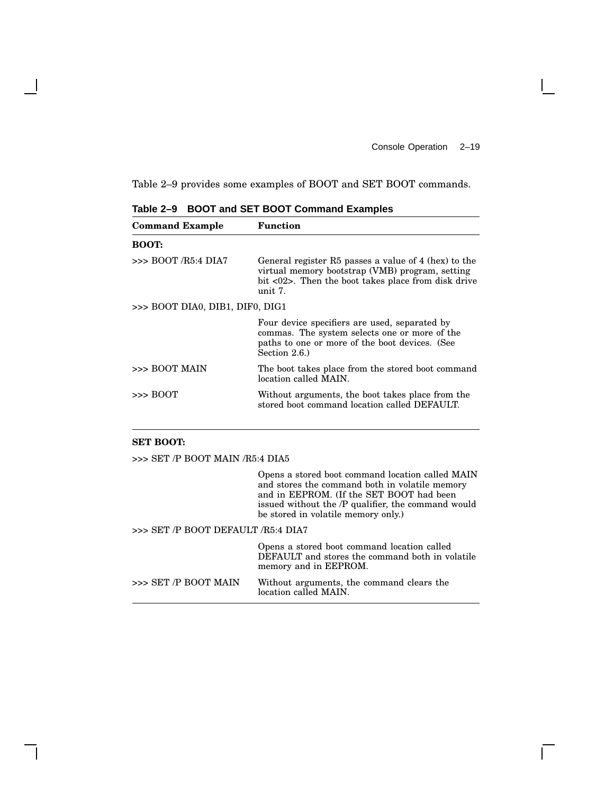Table 2–9 provides some examples of BOOT and SET BOOT commands.

| <b>Command Example</b>          | <b>Function</b>                                                                                                                                                                            |  |  |  |  |
|---------------------------------|--------------------------------------------------------------------------------------------------------------------------------------------------------------------------------------------|--|--|--|--|
| <b>BOOT:</b>                    |                                                                                                                                                                                            |  |  |  |  |
| $>>$ BOOT <i>R</i> 5:4 DIA7     | General register R5 passes a value of 4 (hex) to the<br>virtual memory bootstrap (VMB) program, setting<br>bit $\langle 02 \rangle$ . Then the boot takes place from disk drive<br>unit 7. |  |  |  |  |
| >>> BOOT DIA0, DIB1, DIF0, DIG1 |                                                                                                                                                                                            |  |  |  |  |
|                                 | Four device specifiers are used, separated by<br>commas. The system selects one or more of the<br>paths to one or more of the boot devices. (See<br>Section $2.6.$ )                       |  |  |  |  |
| >>> BOOT MAIN                   | The boot takes place from the stored boot command<br>location called MAIN.                                                                                                                 |  |  |  |  |
| $\gg$ BOOT                      | Without arguments, the boot takes place from the<br>stored boot command location called DEFAULT.                                                                                           |  |  |  |  |

**Table 2–9 BOOT and SET BOOT Command Examples**

#### **SET BOOT:**

>>> SET /P BOOT MAIN /R5:4 DIA5

Opens a stored boot command location called MAIN and stores the command both in volatile memory and in EEPROM. (If the SET BOOT had been issued without the /P qualifier, the command would be stored in volatile memory only.)

 $\mathbf{I}$ 

#### >>> SET /P BOOT DEFAULT /R5:4 DIA7

|                         | Opens a stored boot command location called<br>DEFAULT and stores the command both in volatile<br>memory and in EEPROM. |
|-------------------------|-------------------------------------------------------------------------------------------------------------------------|
| $>>$ SET $/P$ BOOT MAIN | Without arguments, the command clears the<br>location called MAIN.                                                      |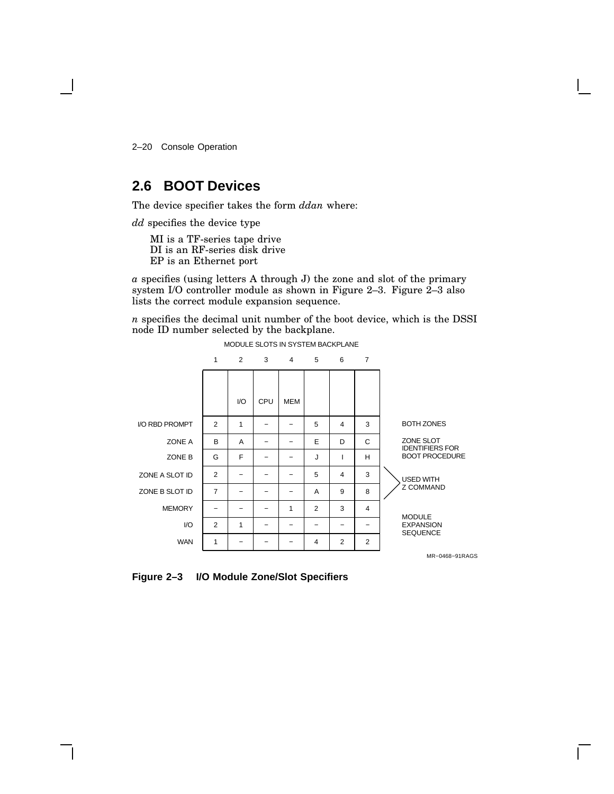2–20 Console Operation

### **2.6 BOOT Devices**

The device specifier takes the form *ddan* where:

*dd* specifies the device type

MI is a TF-series tape drive DI is an RF-series disk drive EP is an Ethernet port

*a* specifies (using letters A through J) the zone and slot of the primary system I/O controller module as shown in Figure 2–3. Figure 2–3 also lists the correct module expansion sequence.

*n* specifies the decimal unit number of the boot device, which is the DSSI node ID number selected by the backplane.



**Figure 2–3 I/O Module Zone/Slot Specifiers**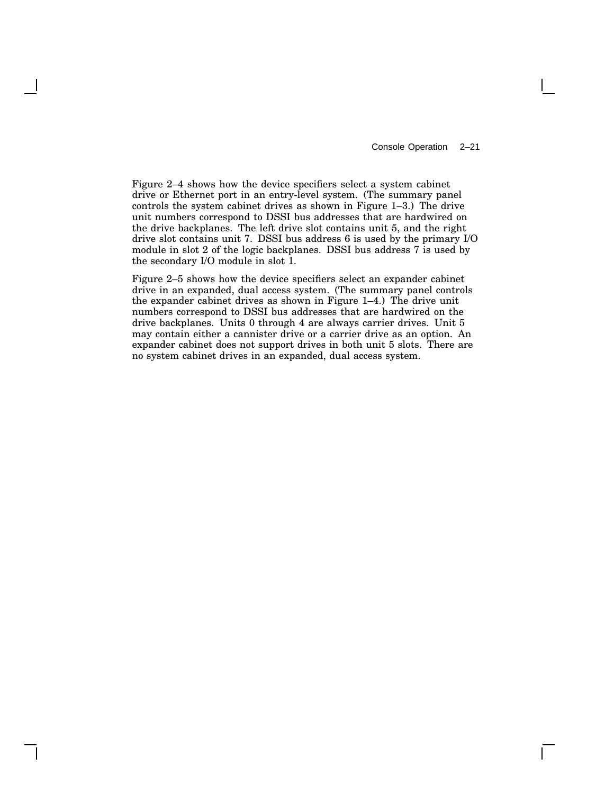Figure 2–4 shows how the device specifiers select a system cabinet drive or Ethernet port in an entry-level system. (The summary panel controls the system cabinet drives as shown in Figure 1–3.) The drive unit numbers correspond to DSSI bus addresses that are hardwired on the drive backplanes. The left drive slot contains unit 5, and the right drive slot contains unit 7. DSSI bus address 6 is used by the primary I/O module in slot 2 of the logic backplanes. DSSI bus address 7 is used by the secondary I/O module in slot 1.

Figure 2–5 shows how the device specifiers select an expander cabinet drive in an expanded, dual access system. (The summary panel controls the expander cabinet drives as shown in Figure 1–4.) The drive unit numbers correspond to DSSI bus addresses that are hardwired on the drive backplanes. Units 0 through 4 are always carrier drives. Unit 5 may contain either a cannister drive or a carrier drive as an option. An expander cabinet does not support drives in both unit 5 slots. There are no system cabinet drives in an expanded, dual access system.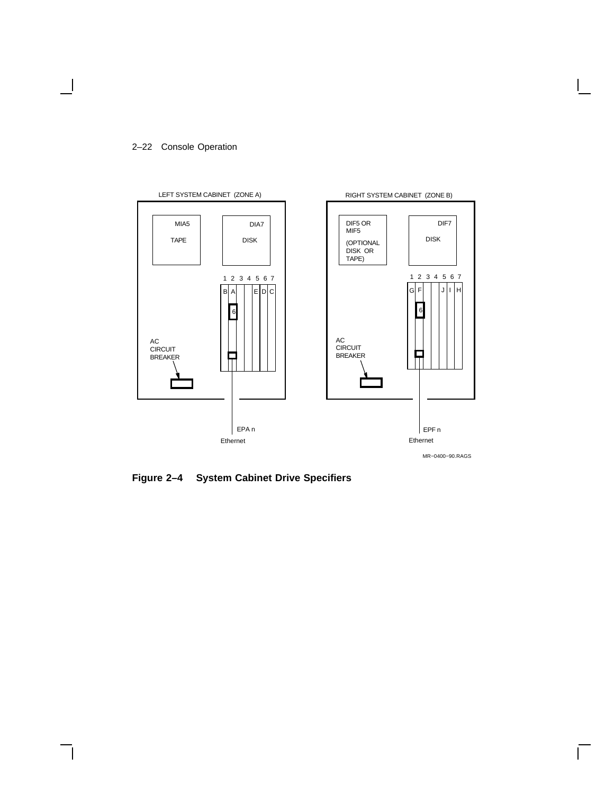#### 2–22 Console Operation

 $\overline{\phantom{a}}$ 



**Figure 2–4 System Cabinet Drive Specifiers**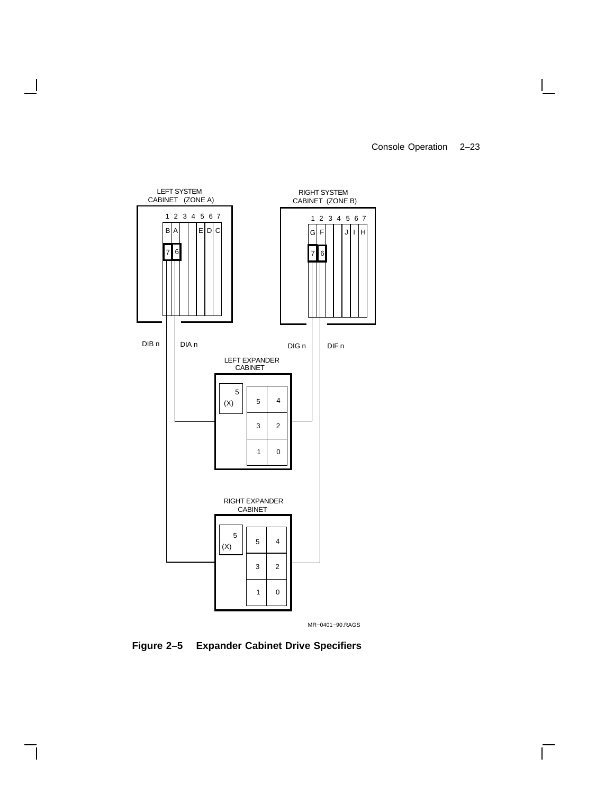Console Operation 2–23

 $\Box$ 

 $\Gamma$ 



 $\overline{\phantom{a}}$ 

 $\mathsf{l}$ 

MR−0401−90.RAGS

**Figure 2–5 Expander Cabinet Drive Specifiers**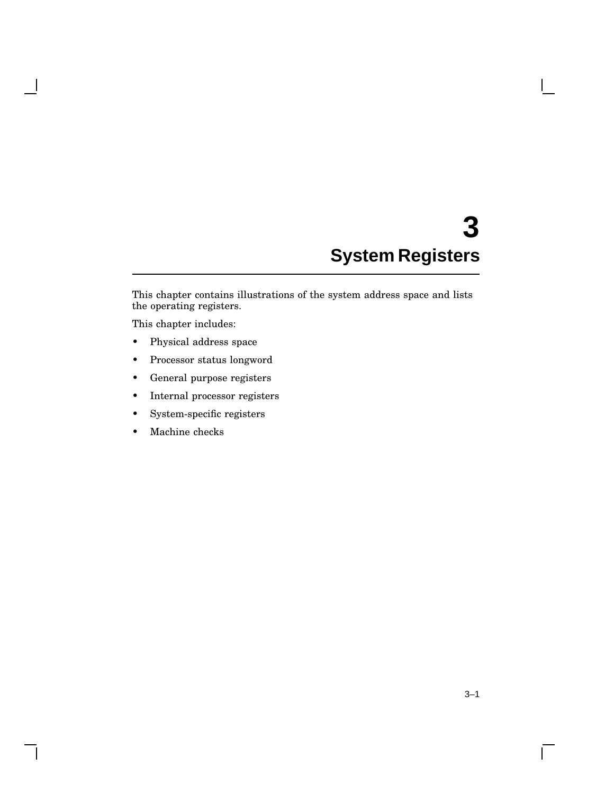# **3 System Registers**

This chapter contains illustrations of the system address space and lists the operating registers.

This chapter includes:

- Physical address space
- Processor status longword
- General purpose registers
- Internal processor registers
- System-specific registers
- Machine checks

 $\overline{\Gamma}$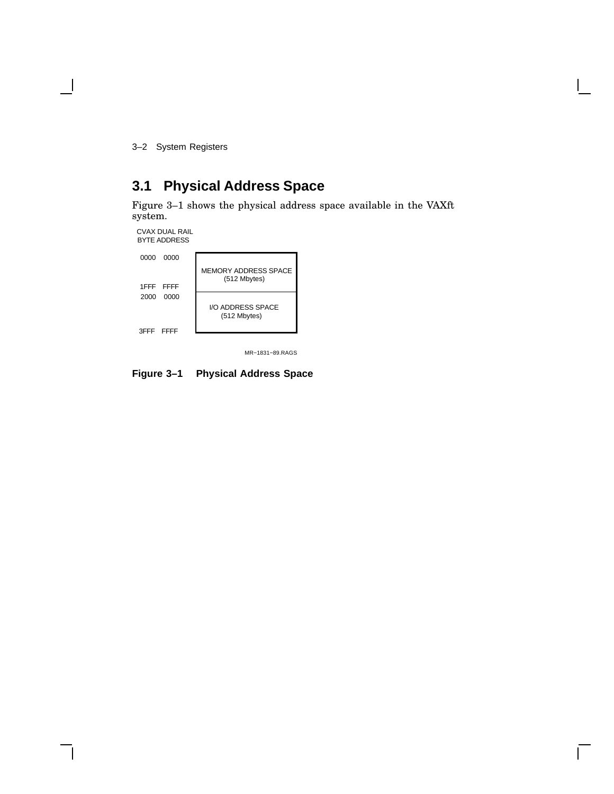3–2 System Registers

 $\overline{\phantom{a}}$ 

# **3.1 Physical Address Space**

Figure 3–1 shows the physical address space available in the VAXft system.

CVAX DUAL RAIL BYTE ADDRESS

| 0000      | 0000      |                                             |
|-----------|-----------|---------------------------------------------|
|           | 1FFF FFFF | <b>MEMORY ADDRESS SPACE</b><br>(512 Mbytes) |
| 2000      | 0000      |                                             |
|           |           | I/O ADDRESS SPACE<br>(512 Mbytes)           |
| 3FFF FFFF |           |                                             |

MR−1831−89.RAGS

**Figure 3–1 Physical Address Space**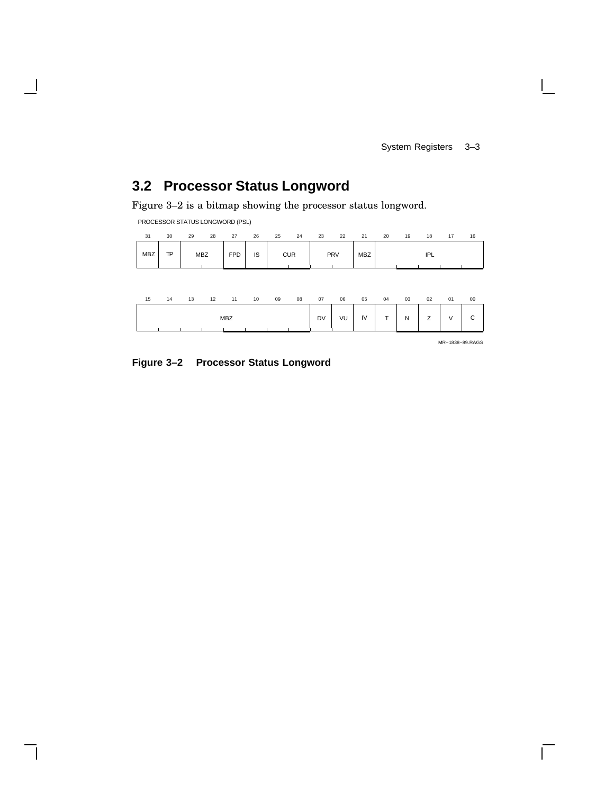# **3.2 Processor Status Longword**

Figure 3–2 is a bitmap showing the processor status longword.

PROCESSOR STATUS LONGWORD (PSL)

| 31         | 30            | 29         | 28 | 27         | 26 | 25 | 24         | 23 | 22  | 21         | 20 | 19 | 18  | 17 | 16 |
|------------|---------------|------------|----|------------|----|----|------------|----|-----|------------|----|----|-----|----|----|
| <b>MBZ</b> | <b>TP</b><br> | <b>MBZ</b> |    | <b>FPD</b> | IS |    | <b>CUR</b> |    | PRV | <b>MBZ</b> |    |    | IPL |    |    |

| 15 | 14 | 13 | 12 | 11         | 10 | 09 | 08 | 07        | 06 | 05 | 04                       | 03 | 02                 | 01         | 00          |
|----|----|----|----|------------|----|----|----|-----------|----|----|--------------------------|----|--------------------|------------|-------------|
|    |    |    |    | <b>MBZ</b> |    |    |    | <b>DV</b> | VU | IV | $\overline{\phantom{0}}$ | N  | $\rightarrow$<br>∸ | $\sqrt{ }$ | $\sim$<br>ັ |

MR−1838−89.RAGS

 $\mathbf{I}$ 

**Figure 3–2 Processor Status Longword**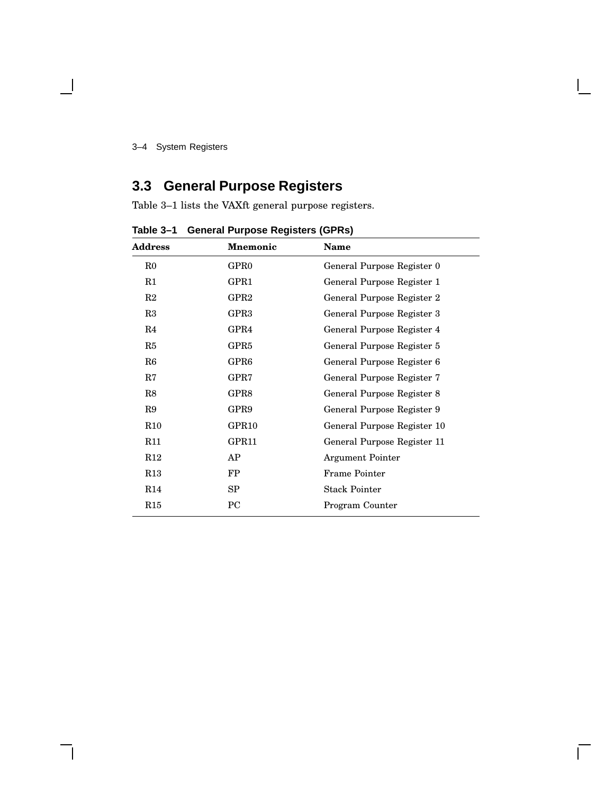#### 3–4 System Registers

# **3.3 General Purpose Registers**

Table 3–1 lists the VAXft general purpose registers.

| Address     | <b>Mnemonic</b>   | <b>Name</b>                 |
|-------------|-------------------|-----------------------------|
| $_{\rm R0}$ | GPR <sub>0</sub>  | General Purpose Register 0  |
| R1          | GPR1              | General Purpose Register 1  |
| R2          | GPR <sub>2</sub>  | General Purpose Register 2  |
| R3          | GPR <sub>3</sub>  | General Purpose Register 3  |
| R4          | GPR4              | General Purpose Register 4  |
| R5          | GPR <sub>5</sub>  | General Purpose Register 5  |
| R6          | GPR <sub>6</sub>  | General Purpose Register 6  |
| $_{\rm R7}$ | GPR7              | General Purpose Register 7  |
| R8          | GPR8              | General Purpose Register 8  |
| R9          | GPR9              | General Purpose Register 9  |
| R10         | GPR <sub>10</sub> | General Purpose Register 10 |
| R11         | GPR11             | General Purpose Register 11 |
| R12         | AP                | <b>Argument Pointer</b>     |
| R13         | FP                | <b>Frame Pointer</b>        |
| R14         | SP                | <b>Stack Pointer</b>        |
| R15         | PC                | Program Counter             |

**Table 3–1 General Purpose Registers (GPRs)**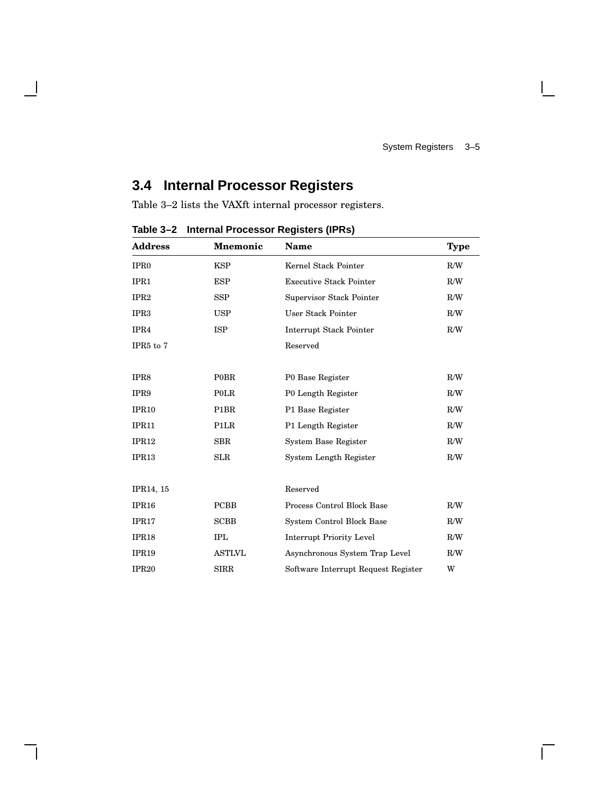$\mathbf{L}$ 

# **3.4 Internal Processor Registers**

Table 3–2 lists the VAXft internal processor registers.

| <b>Address</b>        | <b>Mnemonic</b>   | Name                                | <b>Type</b> |
|-----------------------|-------------------|-------------------------------------|-------------|
| IPR <sub>0</sub>      | <b>KSP</b>        | Kernel Stack Pointer                | R/W         |
| IPR1                  | <b>ESP</b>        | <b>Executive Stack Pointer</b>      | R/W         |
| IPR <sub>2</sub>      | <b>SSP</b>        | Supervisor Stack Pointer            | R/W         |
| IPR <sub>3</sub>      | <b>USP</b>        | User Stack Pointer                  | R/W         |
| IPR4                  | <b>ISP</b>        | Interrupt Stack Pointer             | R/W         |
| IPR <sub>5</sub> to 7 |                   | Reserved                            |             |
|                       |                   |                                     |             |
| IPR8                  | <b>POBR</b>       | P0 Base Register                    | R/W         |
| IPR9                  | POLR              | P0 Length Register                  | R/W         |
| IPR <sub>10</sub>     | P <sub>1</sub> BR | P1 Base Register                    | R/W         |
| IPR11                 | P <sub>1</sub> LR | P1 Length Register                  | R/W         |
| IPR12                 | <b>SBR</b>        | <b>System Base Register</b>         | R/W         |
| IPR13                 | <b>SLR</b>        | System Length Register              | R/W         |
|                       |                   |                                     |             |
| IPR14, 15             |                   | Reserved                            |             |
| IPR <sub>16</sub>     | <b>PCBB</b>       | Process Control Block Base          | R/W         |
| IPR17                 | <b>SCBB</b>       | System Control Block Base           | R/W         |
| IPR18                 | <b>IPL</b>        | <b>Interrupt Priority Level</b>     | R/W         |
| IPR <sub>19</sub>     | <b>ASTLVL</b>     | Asynchronous System Trap Level      | R/W         |
| <b>IPR20</b>          | <b>SIRR</b>       | Software Interrupt Request Register | W           |

**Table 3–2 Internal Processor Registers (IPRs)**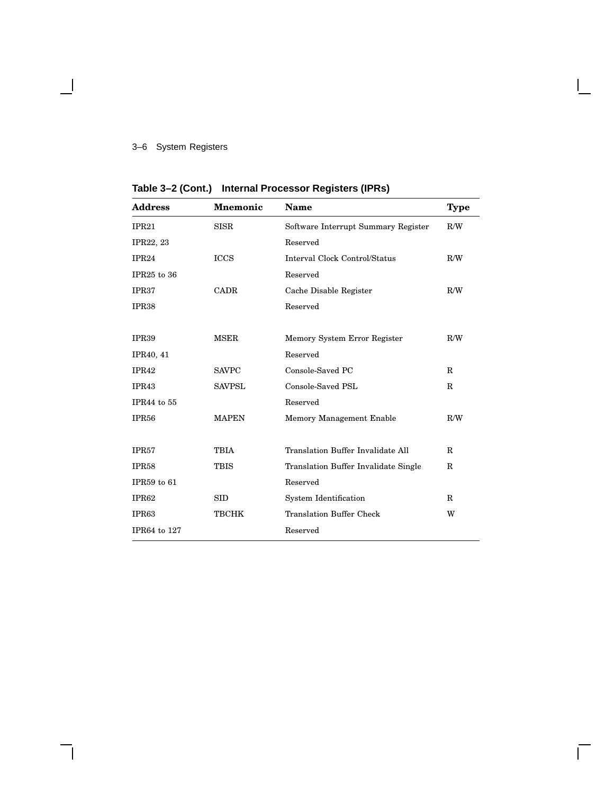### 3–6 System Registers

 $\overline{\phantom{a}}$ 

| <b>Address</b>    | <b>Mnemonic</b> | <b>Name</b>                          | <b>Type</b> |
|-------------------|-----------------|--------------------------------------|-------------|
| IPR21             | <b>SISR</b>     | Software Interrupt Summary Register  | R/W         |
| IPR22, 23         |                 | Reserved                             |             |
| IPR24             | <b>ICCS</b>     | Interval Clock Control/Status        | R/W         |
| IPR25 to 36       |                 | Reserved                             |             |
| IPR37             | <b>CADR</b>     | Cache Disable Register               | R/W         |
| IPR <sub>38</sub> |                 | Reserved                             |             |
|                   |                 |                                      |             |
| <b>IPR39</b>      | <b>MSER</b>     | Memory System Error Register         | R/W         |
| IPR40, 41         |                 | Reserved                             |             |
| <b>IPR42</b>      | <b>SAVPC</b>    | Console-Saved PC                     | R           |
| IPR43             | <b>SAVPSL</b>   | Console-Saved PSL                    | $\mathbf R$ |
| IPR44 to 55       |                 | Reserved                             |             |
| IPR <sub>56</sub> | <b>MAPEN</b>    | Memory Management Enable             | R/W         |
|                   |                 |                                      |             |
| IPR <sub>57</sub> | <b>TBIA</b>     | Translation Buffer Invalidate All    | R           |
| IPR <sub>58</sub> | <b>TBIS</b>     | Translation Buffer Invalidate Single | $\mathbf R$ |
| IPR59 to 61       |                 | Reserved                             |             |
| IPR62             | <b>SID</b>      | <b>System Identification</b>         | R           |
| IPR63             | <b>TBCHK</b>    | <b>Translation Buffer Check</b>      | W           |
| IPR64 to 127      |                 | Reserved                             |             |

 $\mathbf{I}$ 

**Table 3–2 (Cont.) Internal Processor Registers (IPRs)**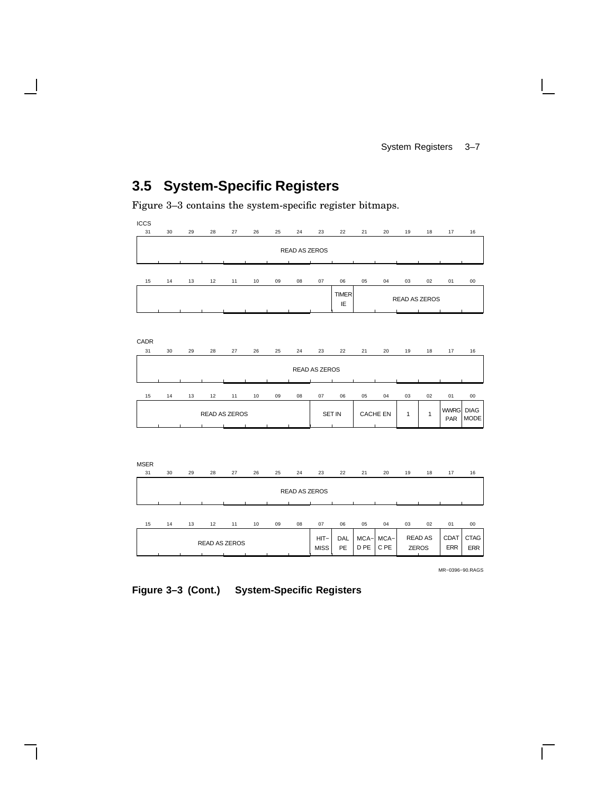# **3.5 System-Specific Registers**

Figure 3–3 contains the system-specific register bitmaps.



| <b>READ AS</b><br>$HIT-$<br>$MCA - i$<br>MCA-I<br>DAL<br><b>READ AS ZEROS</b><br>C <sub>PE</sub><br>PE<br>PE<br><b>MISS</b><br><b>ZEROS</b> | 06<br>05<br>03<br>$^{00}$<br>02<br>04<br>01            | 07 | 08 | 09 | 10 | 12 | 13 | 14 | 15 |
|---------------------------------------------------------------------------------------------------------------------------------------------|--------------------------------------------------------|----|----|----|----|----|----|----|----|
|                                                                                                                                             | <b>CTAG</b><br><b>CDAT</b><br><b>ERR</b><br><b>ERR</b> |    |    |    |    |    |    |    |    |

MR−0396−90.RAGS

**Figure 3–3 (Cont.) System-Specific Registers**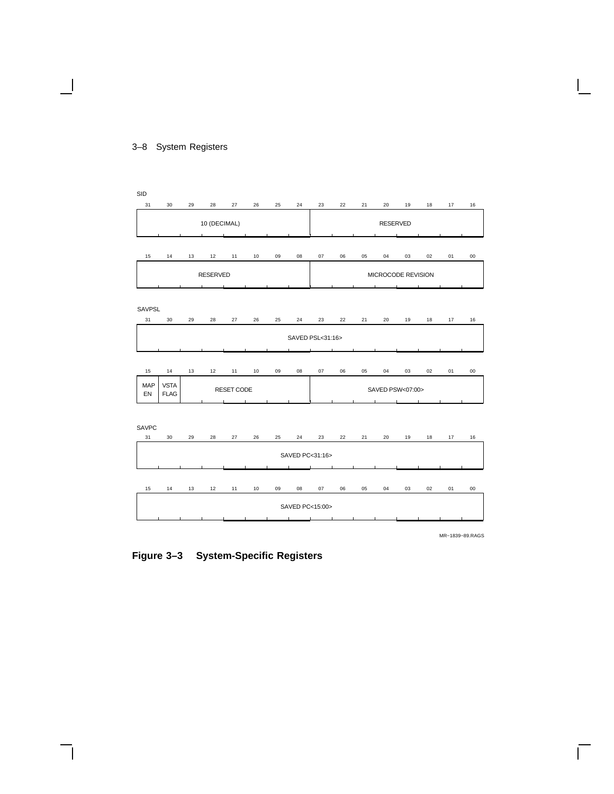### SID 31 30 29 28 27 26 25 24 23 22 21 20 19 18 17 16 10 (DECIMAL) **RESERVED** 15 14 13 12 11 10 09 08 07 06 05 04 03 02 01 00 RESERVED **MICROCODE REVISION**  $\overline{\phantom{0}}$ SAVPSL 31 30 29 28 27 26 25 24 23 22 21 20 19 18 17 16 SAVED PSL<31:16> 15 14 13 12 11 10 09 08 07 06 05 04 03 02 01 00 MAP VSTA RESET CODE SAVED PSW<07:00> EN FLAG SAVPC 31 30 29 28 27 26 25 24 23 22 21 20 19 18 17 16 SAVED PC<31:16> 15 14 13 12 11 10 09 08 07 06 05 04 03 02 01 00 SAVED PC<15:00> MR−1839−89.RAGS

#### 3–8 System Registers

**Figure 3–3 System-Specific Registers**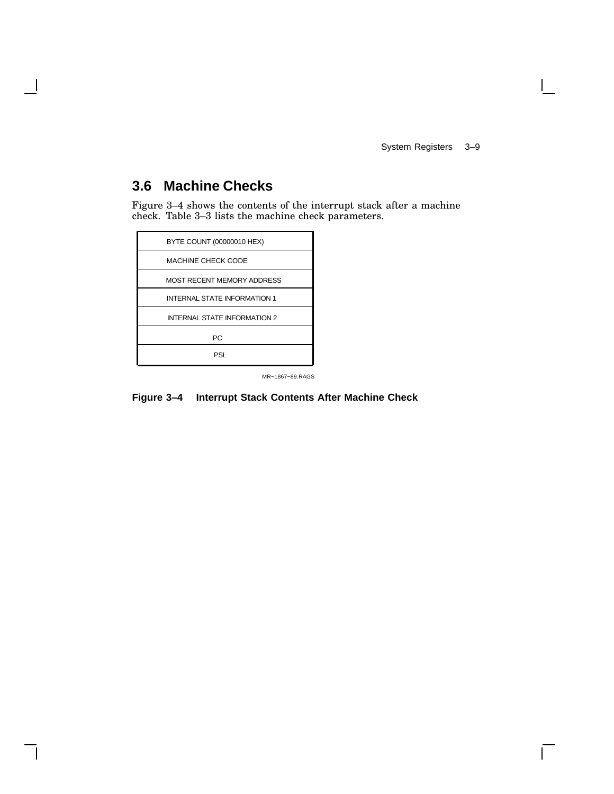System Registers 3–9

 $\mathbf{L}$ 

### **3.6 Machine Checks**

Figure 3–4 shows the contents of the interrupt stack after a machine check. Table 3–3 lists the machine check parameters.

MR−1867−89.RAGS

**Figure 3–4 Interrupt Stack Contents After Machine Check**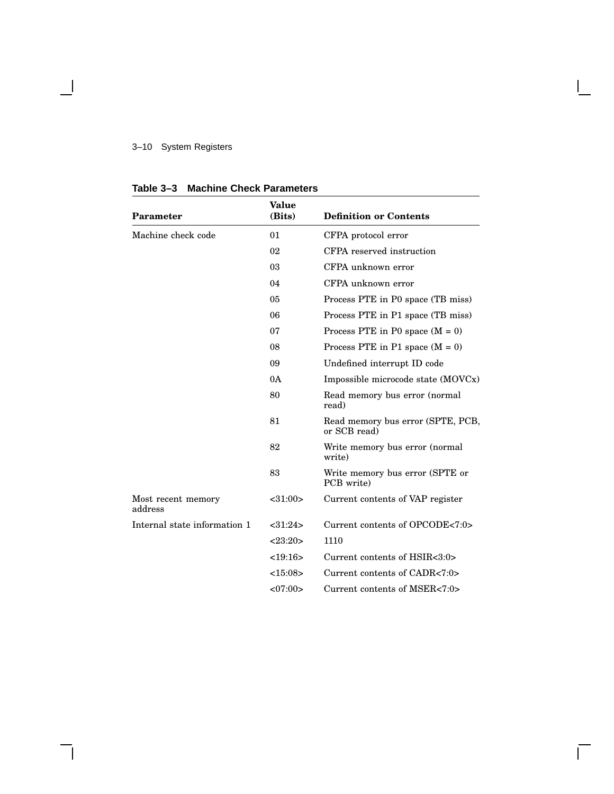### 3–10 System Registers

 $\mathbf{1}$ 

| Parameter                     | <b>Value</b><br>(Bits) | <b>Definition or Contents</b>                     |
|-------------------------------|------------------------|---------------------------------------------------|
| Machine check code            | 01                     | CFPA protocol error                               |
|                               | 02                     | CFPA reserved instruction                         |
|                               | 03                     | CFPA unknown error                                |
|                               | 04                     | CFPA unknown error                                |
|                               | 05                     | Process PTE in P0 space (TB miss)                 |
|                               | 06                     | Process PTE in P1 space (TB miss)                 |
|                               | 07                     | Process PTE in P0 space $(M = 0)$                 |
|                               | 08                     | Process PTE in P1 space $(M = 0)$                 |
|                               | 09                     | Undefined interrupt ID code                       |
|                               | 0A                     | Impossible microcode state (MOVCx)                |
|                               | 80                     | Read memory bus error (normal<br>read)            |
|                               | 81                     | Read memory bus error (SPTE, PCB,<br>or SCB read) |
|                               | 82                     | Write memory bus error (normal<br>write)          |
|                               | 83                     | Write memory bus error (SPTE or<br>PCB write)     |
| Most recent memory<br>address | $<$ 31:00 $>$          | Current contents of VAP register                  |
| Internal state information 1  | $<$ 31:24 $>$          | Current contents of OPCODE<7:0>                   |
|                               | <23:20>                | 1110                                              |
|                               | <19:16>                | Current contents of HSIR<3:0>                     |
|                               | <15:08>                | Current contents of CADR<7:0>                     |
|                               | <07:00>                | Current contents of MSER<7:0>                     |

Г

**Table 3–3 Machine Check Parameters**